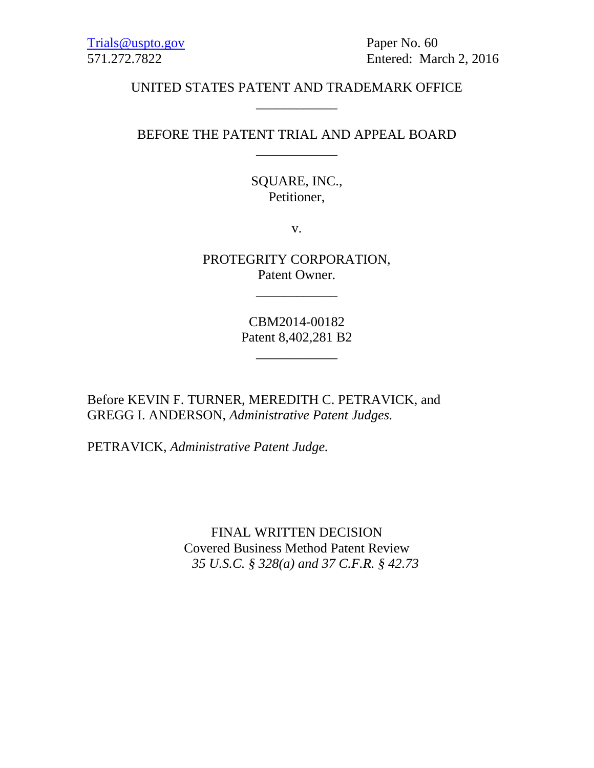Trials@uspto.gov Paper No. 60

571.272.7822 Entered: March 2, 2016

## UNITED STATES PATENT AND TRADEMARK OFFICE \_\_\_\_\_\_\_\_\_\_\_\_

# BEFORE THE PATENT TRIAL AND APPEAL BOARD \_\_\_\_\_\_\_\_\_\_\_\_

# SQUARE, INC., Petitioner,

v.

PROTEGRITY CORPORATION, Patent Owner.

\_\_\_\_\_\_\_\_\_\_\_\_

CBM2014-00182 Patent 8,402,281 B2

\_\_\_\_\_\_\_\_\_\_\_\_

Before KEVIN F. TURNER, MEREDITH C. PETRAVICK, and GREGG I. ANDERSON, *Administrative Patent Judges.* 

PETRAVICK, *Administrative Patent Judge.* 

FINAL WRITTEN DECISION Covered Business Method Patent Review *35 U.S.C. § 328(a) and 37 C.F.R. § 42.73*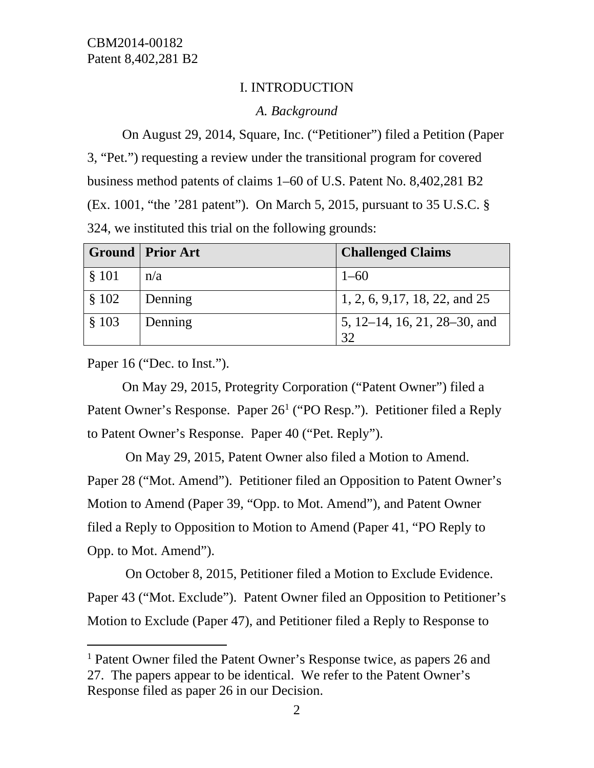# I. INTRODUCTION

# *A. Background*

On August 29, 2014, Square, Inc. ("Petitioner") filed a Petition (Paper 3, "Pet.") requesting a review under the transitional program for covered business method patents of claims 1–60 of U.S. Patent No. 8,402,281 B2 (Ex. 1001, "the '281 patent"). On March 5, 2015, pursuant to 35 U.S.C. § 324, we instituted this trial on the following grounds:

|       | <b>Ground Prior Art</b> | <b>Challenged Claims</b>           |
|-------|-------------------------|------------------------------------|
| § 101 | n/a                     | $1 - 60$                           |
| \$102 | Denning                 | 1, 2, 6, 9, 17, 18, 22, and 25     |
| \$103 | Denning                 | 5, 12–14, 16, 21, 28–30, and<br>32 |

Paper 16 ("Dec. to Inst.").

-

On May 29, 2015, Protegrity Corporation ("Patent Owner") filed a Patent Owner's Response. Paper 26<sup>1</sup> ("PO Resp."). Petitioner filed a Reply to Patent Owner's Response. Paper 40 ("Pet. Reply").

 On May 29, 2015, Patent Owner also filed a Motion to Amend. Paper 28 ("Mot. Amend"). Petitioner filed an Opposition to Patent Owner's Motion to Amend (Paper 39, "Opp. to Mot. Amend"), and Patent Owner filed a Reply to Opposition to Motion to Amend (Paper 41, "PO Reply to Opp. to Mot. Amend").

 On October 8, 2015, Petitioner filed a Motion to Exclude Evidence. Paper 43 ("Mot. Exclude"). Patent Owner filed an Opposition to Petitioner's Motion to Exclude (Paper 47), and Petitioner filed a Reply to Response to

<sup>&</sup>lt;sup>1</sup> Patent Owner filed the Patent Owner's Response twice, as papers 26 and 27. The papers appear to be identical. We refer to the Patent Owner's Response filed as paper 26 in our Decision.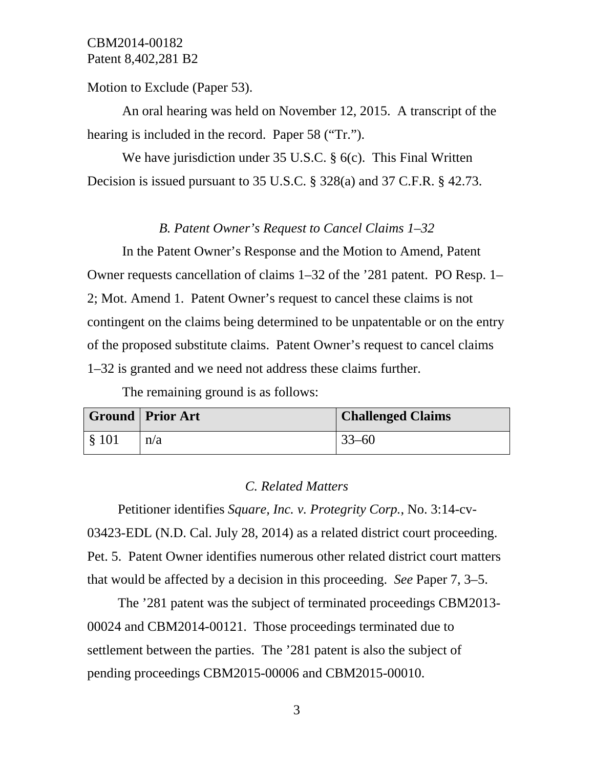Motion to Exclude (Paper 53).

An oral hearing was held on November 12, 2015. A transcript of the hearing is included in the record. Paper 58 ("Tr.").

We have jurisdiction under 35 U.S.C. § 6(c). This Final Written Decision is issued pursuant to 35 U.S.C. § 328(a) and 37 C.F.R. § 42.73.

#### *B. Patent Owner's Request to Cancel Claims 1–32*

In the Patent Owner's Response and the Motion to Amend, Patent Owner requests cancellation of claims 1–32 of the '281 patent. PO Resp. 1– 2; Mot. Amend 1. Patent Owner's request to cancel these claims is not contingent on the claims being determined to be unpatentable or on the entry of the proposed substitute claims. Patent Owner's request to cancel claims 1–32 is granted and we need not address these claims further.

The remaining ground is as follows:

|                   | <b>Ground Prior Art</b> | <b>Challenged Claims</b> |
|-------------------|-------------------------|--------------------------|
| $\frac{1}{8}$ 101 | n/a                     | $33 - 60$                |

#### *C. Related Matters*

Petitioner identifies *Square, Inc. v. Protegrity Corp.*, No. 3:14-cv-03423-EDL (N.D. Cal. July 28, 2014) as a related district court proceeding. Pet. 5. Patent Owner identifies numerous other related district court matters that would be affected by a decision in this proceeding. *See* Paper 7, 3–5.

The '281 patent was the subject of terminated proceedings CBM2013- 00024 and CBM2014-00121. Those proceedings terminated due to settlement between the parties. The '281 patent is also the subject of pending proceedings CBM2015-00006 and CBM2015-00010.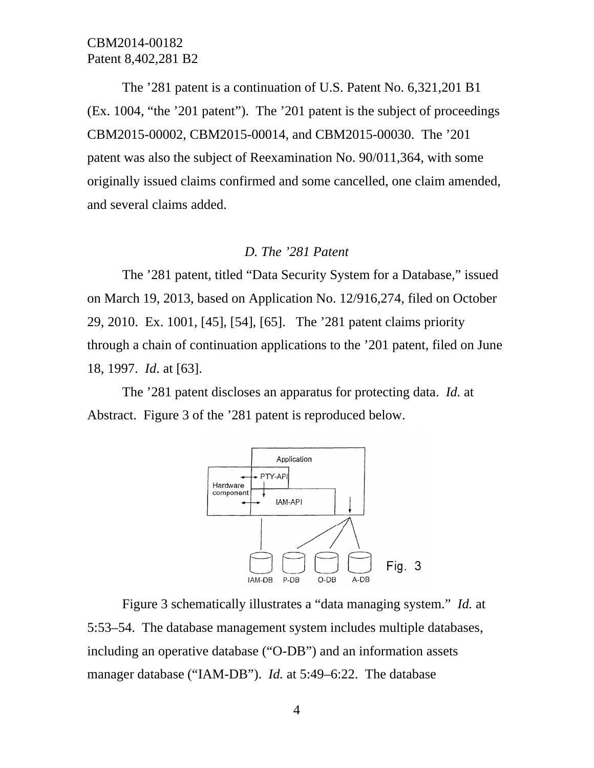The '281 patent is a continuation of U.S. Patent No. 6,321,201 B1 (Ex. 1004, "the '201 patent"). The '201 patent is the subject of proceedings CBM2015-00002, CBM2015-00014, and CBM2015-00030. The '201 patent was also the subject of Reexamination No. 90/011,364, with some originally issued claims confirmed and some cancelled, one claim amended, and several claims added.

#### *D. The '281 Patent*

The '281 patent, titled "Data Security System for a Database," issued on March 19, 2013, based on Application No. 12/916,274, filed on October 29, 2010. Ex. 1001, [45], [54], [65]. The '281 patent claims priority through a chain of continuation applications to the '201 patent, filed on June 18, 1997. *Id*. at [63].

The '281 patent discloses an apparatus for protecting data. *Id.* at Abstract. Figure 3 of the '281 patent is reproduced below.



Figure 3 schematically illustrates a "data managing system." *Id.* at 5:53–54. The database management system includes multiple databases, including an operative database ("O-DB") and an information assets manager database ("IAM-DB"). *Id.* at 5:49–6:22. The database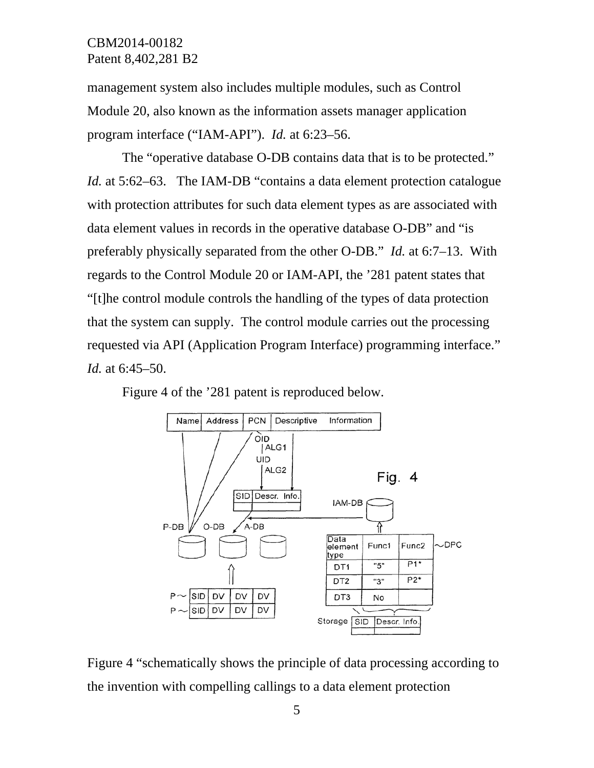management system also includes multiple modules, such as Control Module 20, also known as the information assets manager application program interface ("IAM-API"). *Id.* at 6:23–56.

The "operative database O-DB contains data that is to be protected." *Id.* at 5:62–63. The IAM-DB "contains a data element protection catalogue with protection attributes for such data element types as are associated with data element values in records in the operative database O-DB" and "is preferably physically separated from the other O-DB." *Id.* at 6:7–13. With regards to the Control Module 20 or IAM-API, the '281 patent states that "[t]he control module controls the handling of the types of data protection that the system can supply. The control module carries out the processing requested via API (Application Program Interface) programming interface." *Id.* at 6:45–50.

Figure 4 of the '281 patent is reproduced below.



Figure 4 "schematically shows the principle of data processing according to the invention with compelling callings to a data element protection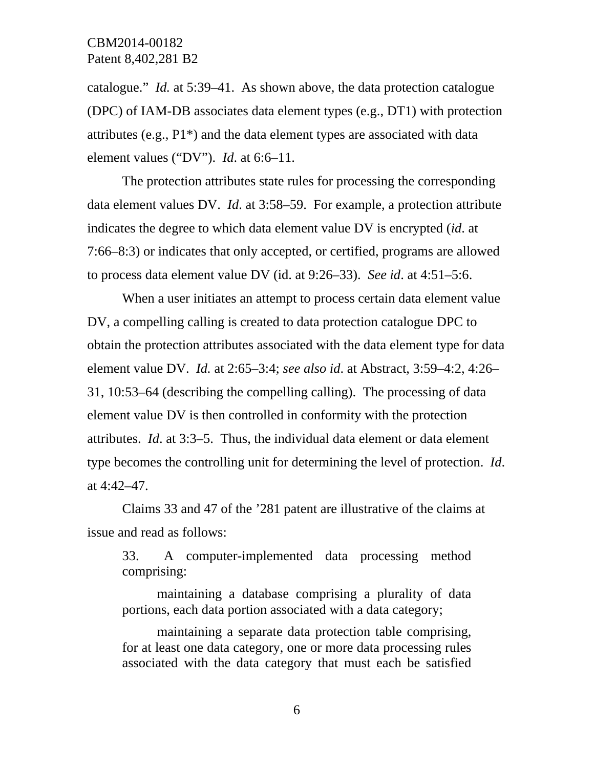catalogue." *Id.* at 5:39–41. As shown above, the data protection catalogue (DPC) of IAM-DB associates data element types (e.g., DT1) with protection attributes (e.g., P1\*) and the data element types are associated with data element values ("DV"). *Id*. at 6:6–11.

The protection attributes state rules for processing the corresponding data element values DV. *Id*. at 3:58–59. For example, a protection attribute indicates the degree to which data element value DV is encrypted (*id*. at 7:66–8:3) or indicates that only accepted, or certified, programs are allowed to process data element value DV (id. at 9:26–33). *See id*. at 4:51–5:6.

When a user initiates an attempt to process certain data element value DV, a compelling calling is created to data protection catalogue DPC to obtain the protection attributes associated with the data element type for data element value DV. *Id.* at 2:65–3:4; *see also id*. at Abstract, 3:59–4:2, 4:26– 31, 10:53–64 (describing the compelling calling). The processing of data element value DV is then controlled in conformity with the protection attributes. *Id*. at 3:3–5. Thus, the individual data element or data element type becomes the controlling unit for determining the level of protection. *Id*. at 4:42–47.

Claims 33 and 47 of the '281 patent are illustrative of the claims at issue and read as follows:

33. A computer-implemented data processing method comprising:

 maintaining a database comprising a plurality of data portions, each data portion associated with a data category;

 maintaining a separate data protection table comprising, for at least one data category, one or more data processing rules associated with the data category that must each be satisfied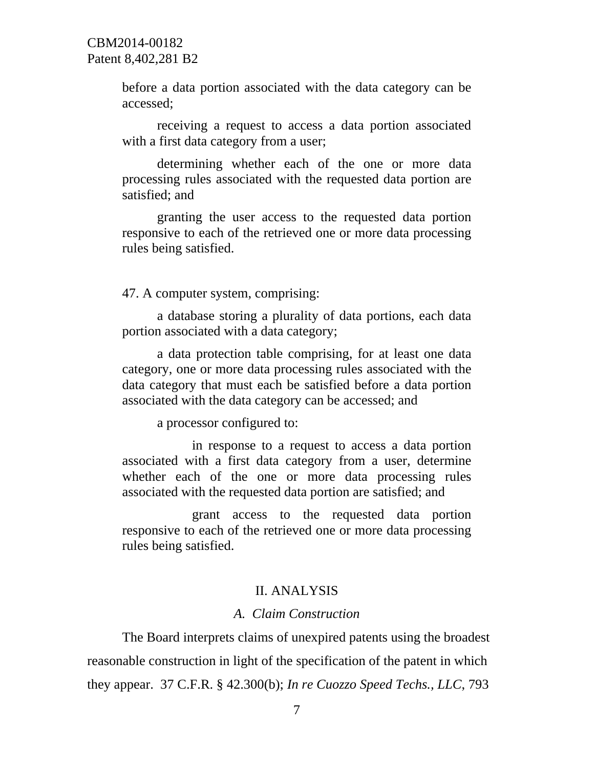before a data portion associated with the data category can be accessed;

 receiving a request to access a data portion associated with a first data category from a user;

 determining whether each of the one or more data processing rules associated with the requested data portion are satisfied; and

 granting the user access to the requested data portion responsive to each of the retrieved one or more data processing rules being satisfied.

47. A computer system, comprising:

 a database storing a plurality of data portions, each data portion associated with a data category;

 a data protection table comprising, for at least one data category, one or more data processing rules associated with the data category that must each be satisfied before a data portion associated with the data category can be accessed; and

a processor configured to:

 in response to a request to access a data portion associated with a first data category from a user, determine whether each of the one or more data processing rules associated with the requested data portion are satisfied; and

 grant access to the requested data portion responsive to each of the retrieved one or more data processing rules being satisfied.

# II. ANALYSIS

## *A. Claim Construction*

The Board interprets claims of unexpired patents using the broadest reasonable construction in light of the specification of the patent in which they appear. 37 C.F.R. § 42.300(b); *In re Cuozzo Speed Techs., LLC*, 793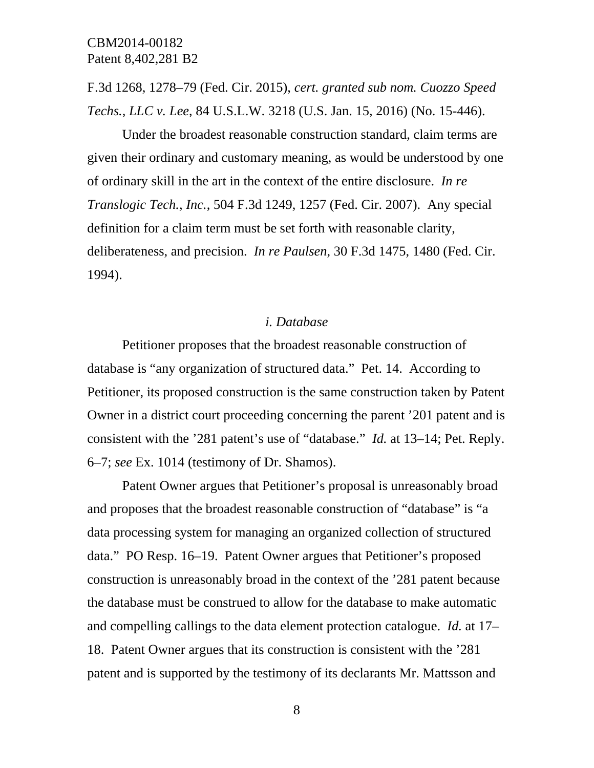F.3d 1268, 1278–79 (Fed. Cir. 2015), *cert. granted sub nom. Cuozzo Speed Techs., LLC v. Lee*, 84 U.S.L.W. 3218 (U.S. Jan. 15, 2016) (No. 15-446).

Under the broadest reasonable construction standard, claim terms are given their ordinary and customary meaning, as would be understood by one of ordinary skill in the art in the context of the entire disclosure. *In re Translogic Tech., Inc.*, 504 F.3d 1249, 1257 (Fed. Cir. 2007). Any special definition for a claim term must be set forth with reasonable clarity, deliberateness, and precision. *In re Paulsen*, 30 F.3d 1475, 1480 (Fed. Cir. 1994).

#### *i. Database*

Petitioner proposes that the broadest reasonable construction of database is "any organization of structured data." Pet. 14. According to Petitioner, its proposed construction is the same construction taken by Patent Owner in a district court proceeding concerning the parent '201 patent and is consistent with the '281 patent's use of "database." *Id.* at 13–14; Pet. Reply. 6–7; *see* Ex. 1014 (testimony of Dr. Shamos).

Patent Owner argues that Petitioner's proposal is unreasonably broad and proposes that the broadest reasonable construction of "database" is "a data processing system for managing an organized collection of structured data." PO Resp. 16–19. Patent Owner argues that Petitioner's proposed construction is unreasonably broad in the context of the '281 patent because the database must be construed to allow for the database to make automatic and compelling callings to the data element protection catalogue. *Id.* at 17– 18. Patent Owner argues that its construction is consistent with the '281 patent and is supported by the testimony of its declarants Mr. Mattsson and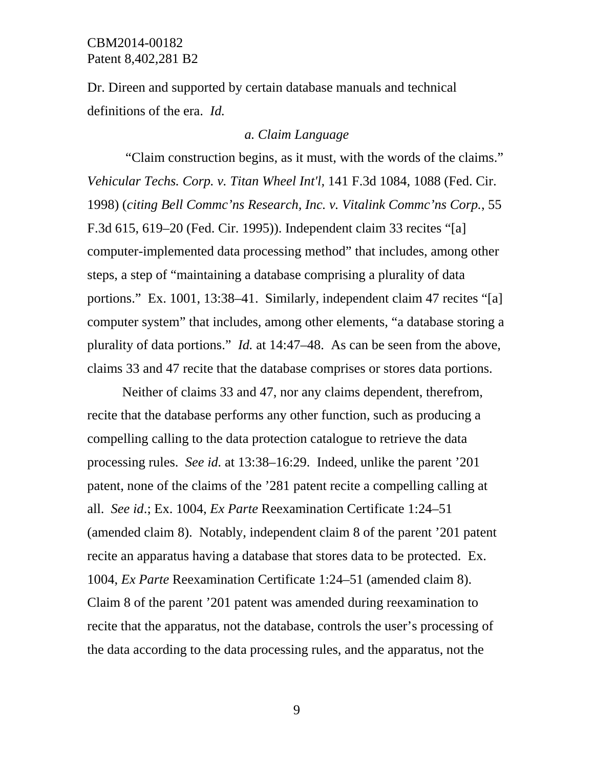Dr. Direen and supported by certain database manuals and technical definitions of the era. *Id.*

#### *a. Claim Language*

 "Claim construction begins, as it must, with the words of the claims." *Vehicular Techs. Corp. v. Titan Wheel Int'l,* 141 F.3d 1084, 1088 (Fed. Cir. 1998) (*citing Bell Commc'ns Research, Inc. v. Vitalink Commc'ns Corp.*, 55 F.3d 615, 619–20 (Fed. Cir. 1995)). Independent claim 33 recites "[a] computer-implemented data processing method" that includes, among other steps, a step of "maintaining a database comprising a plurality of data portions." Ex. 1001, 13:38–41. Similarly, independent claim 47 recites "[a] computer system" that includes, among other elements, "a database storing a plurality of data portions." *Id.* at 14:47–48. As can be seen from the above, claims 33 and 47 recite that the database comprises or stores data portions.

Neither of claims 33 and 47, nor any claims dependent, therefrom, recite that the database performs any other function, such as producing a compelling calling to the data protection catalogue to retrieve the data processing rules. *See id.* at 13:38–16:29. Indeed, unlike the parent '201 patent, none of the claims of the '281 patent recite a compelling calling at all. *See id*.; Ex. 1004, *Ex Parte* Reexamination Certificate 1:24–51 (amended claim 8). Notably, independent claim 8 of the parent '201 patent recite an apparatus having a database that stores data to be protected. Ex. 1004, *Ex Parte* Reexamination Certificate 1:24–51 (amended claim 8). Claim 8 of the parent '201 patent was amended during reexamination to recite that the apparatus, not the database, controls the user's processing of the data according to the data processing rules, and the apparatus, not the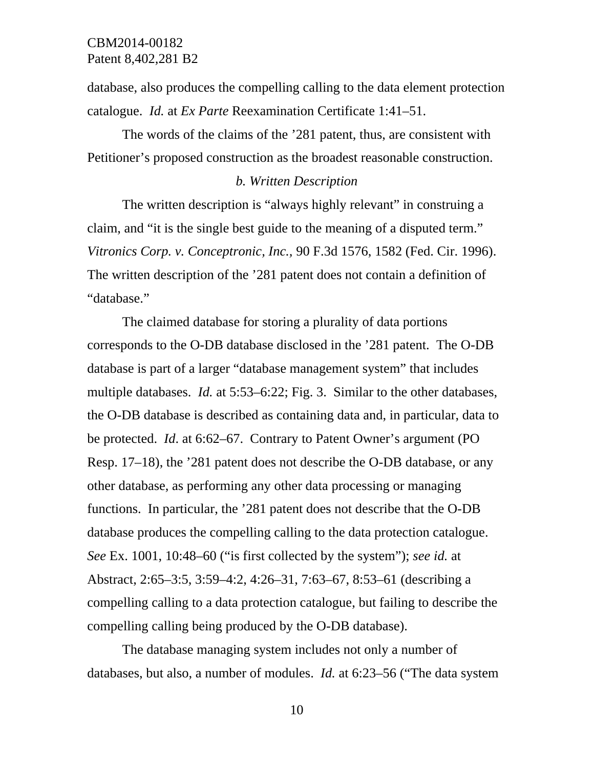database, also produces the compelling calling to the data element protection catalogue. *Id.* at *Ex Parte* Reexamination Certificate 1:41–51.

The words of the claims of the '281 patent, thus, are consistent with Petitioner's proposed construction as the broadest reasonable construction.

#### *b. Written Description*

The written description is "always highly relevant" in construing a claim, and "it is the single best guide to the meaning of a disputed term." *Vitronics Corp. v. Conceptronic, Inc.,* 90 F.3d 1576, 1582 (Fed. Cir. 1996). The written description of the '281 patent does not contain a definition of "database."

The claimed database for storing a plurality of data portions corresponds to the O-DB database disclosed in the '281 patent. The O-DB database is part of a larger "database management system" that includes multiple databases. *Id.* at 5:53–6:22; Fig. 3. Similar to the other databases, the O-DB database is described as containing data and, in particular, data to be protected. *Id*. at 6:62–67. Contrary to Patent Owner's argument (PO Resp. 17–18), the '281 patent does not describe the O-DB database, or any other database, as performing any other data processing or managing functions. In particular, the '281 patent does not describe that the O-DB database produces the compelling calling to the data protection catalogue. *See* Ex. 1001, 10:48–60 ("is first collected by the system"); *see id.* at Abstract, 2:65–3:5, 3:59–4:2, 4:26–31, 7:63–67, 8:53–61 (describing a compelling calling to a data protection catalogue, but failing to describe the compelling calling being produced by the O-DB database).

The database managing system includes not only a number of databases, but also, a number of modules. *Id.* at 6:23–56 ("The data system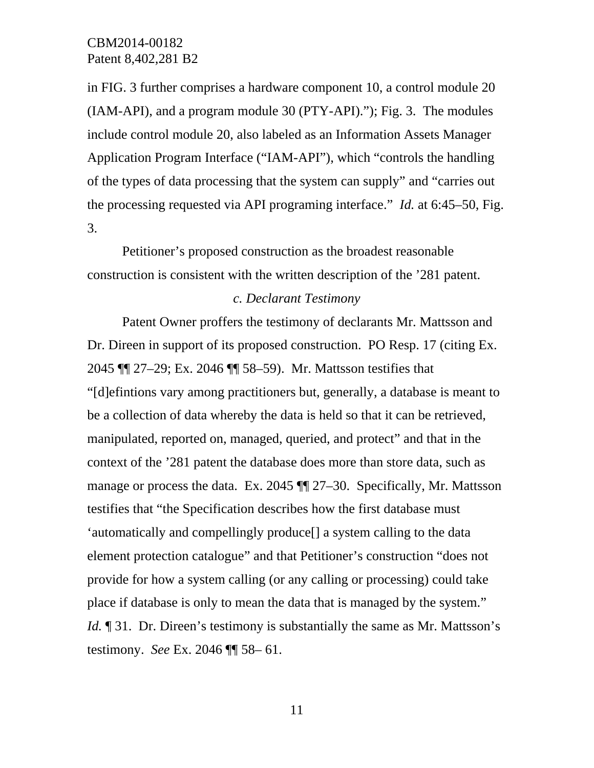in FIG. 3 further comprises a hardware component 10, a control module 20 (IAM-API), and a program module 30 (PTY-API)."); Fig. 3. The modules include control module 20, also labeled as an Information Assets Manager Application Program Interface ("IAM-API"), which "controls the handling of the types of data processing that the system can supply" and "carries out the processing requested via API programing interface." *Id.* at 6:45–50, Fig. 3.

Petitioner's proposed construction as the broadest reasonable construction is consistent with the written description of the '281 patent.

### *c. Declarant Testimony*

 Patent Owner proffers the testimony of declarants Mr. Mattsson and Dr. Direen in support of its proposed construction. PO Resp. 17 (citing Ex. 2045 ¶¶ 27–29; Ex. 2046 ¶¶ 58–59). Mr. Mattsson testifies that "[d]efintions vary among practitioners but, generally, a database is meant to be a collection of data whereby the data is held so that it can be retrieved, manipulated, reported on, managed, queried, and protect" and that in the context of the '281 patent the database does more than store data, such as manage or process the data. Ex. 2045 ¶¶ 27–30. Specifically, Mr. Mattsson testifies that "the Specification describes how the first database must 'automatically and compellingly produce[] a system calling to the data element protection catalogue" and that Petitioner's construction "does not provide for how a system calling (or any calling or processing) could take place if database is only to mean the data that is managed by the system." *Id.* 131. Dr. Direen's testimony is substantially the same as Mr. Mattsson's testimony. *See* Ex. 2046 ¶¶ 58– 61.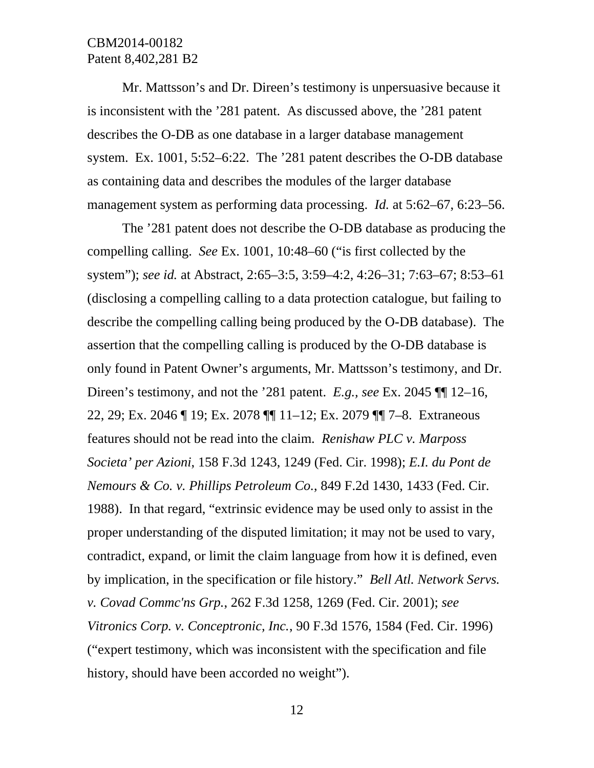Mr. Mattsson's and Dr. Direen's testimony is unpersuasive because it is inconsistent with the '281 patent. As discussed above, the '281 patent describes the O-DB as one database in a larger database management system. Ex. 1001, 5:52–6:22. The '281 patent describes the O-DB database as containing data and describes the modules of the larger database management system as performing data processing. *Id.* at 5:62–67, 6:23–56.

The '281 patent does not describe the O-DB database as producing the compelling calling. *See* Ex. 1001, 10:48–60 ("is first collected by the system"); *see id.* at Abstract, 2:65–3:5, 3:59–4:2, 4:26–31; 7:63–67; 8:53–61 (disclosing a compelling calling to a data protection catalogue, but failing to describe the compelling calling being produced by the O-DB database). The assertion that the compelling calling is produced by the O-DB database is only found in Patent Owner's arguments, Mr. Mattsson's testimony, and Dr. Direen's testimony, and not the '281 patent. *E.g., see* Ex. 2045 ¶¶ 12–16, 22, 29; Ex. 2046 ¶ 19; Ex. 2078 ¶¶ 11–12; Ex. 2079 ¶¶ 7–8. Extraneous features should not be read into the claim. *Renishaw PLC v. Marposs Societa' per Azioni*, 158 F.3d 1243, 1249 (Fed. Cir. 1998); *E.I. du Pont de Nemours & Co. v. Phillips Petroleum Co.*, 849 F.2d 1430, 1433 (Fed. Cir. 1988). In that regard, "extrinsic evidence may be used only to assist in the proper understanding of the disputed limitation; it may not be used to vary, contradict, expand, or limit the claim language from how it is defined, even by implication, in the specification or file history." *Bell Atl. Network Servs. v. Covad Commc'ns Grp.*, 262 F.3d 1258, 1269 (Fed. Cir. 2001); *see Vitronics Corp. v. Conceptronic, Inc.*, 90 F.3d 1576, 1584 (Fed. Cir. 1996) ("expert testimony, which was inconsistent with the specification and file history, should have been accorded no weight").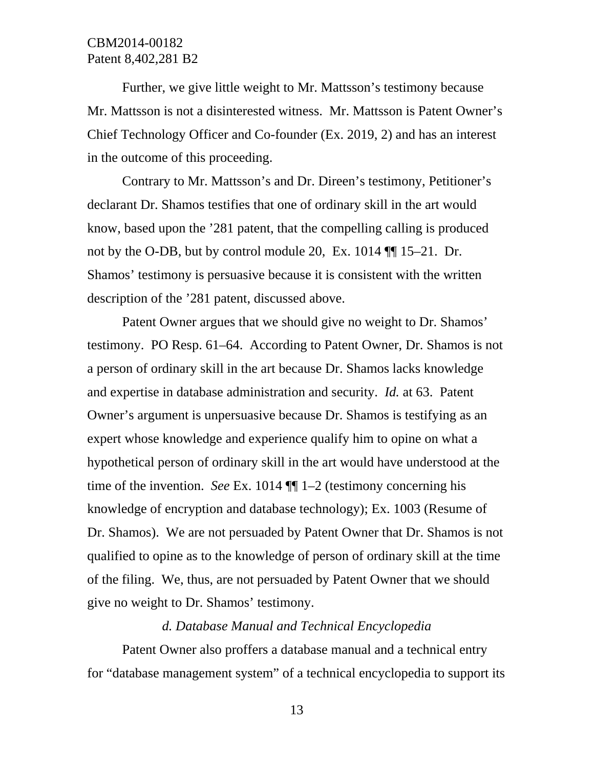Further, we give little weight to Mr. Mattsson's testimony because Mr. Mattsson is not a disinterested witness. Mr. Mattsson is Patent Owner's Chief Technology Officer and Co-founder (Ex. 2019, 2) and has an interest in the outcome of this proceeding.

Contrary to Mr. Mattsson's and Dr. Direen's testimony, Petitioner's declarant Dr. Shamos testifies that one of ordinary skill in the art would know, based upon the '281 patent, that the compelling calling is produced not by the O-DB, but by control module 20, Ex. 1014 ¶¶ 15–21. Dr. Shamos' testimony is persuasive because it is consistent with the written description of the '281 patent, discussed above.

 Patent Owner argues that we should give no weight to Dr. Shamos' testimony. PO Resp. 61–64. According to Patent Owner, Dr. Shamos is not a person of ordinary skill in the art because Dr. Shamos lacks knowledge and expertise in database administration and security. *Id.* at 63. Patent Owner's argument is unpersuasive because Dr. Shamos is testifying as an expert whose knowledge and experience qualify him to opine on what a hypothetical person of ordinary skill in the art would have understood at the time of the invention. *See* Ex. 1014 ¶¶ 1–2 (testimony concerning his knowledge of encryption and database technology); Ex. 1003 (Resume of Dr. Shamos). We are not persuaded by Patent Owner that Dr. Shamos is not qualified to opine as to the knowledge of person of ordinary skill at the time of the filing. We, thus, are not persuaded by Patent Owner that we should give no weight to Dr. Shamos' testimony.

## *d. Database Manual and Technical Encyclopedia*

 Patent Owner also proffers a database manual and a technical entry for "database management system" of a technical encyclopedia to support its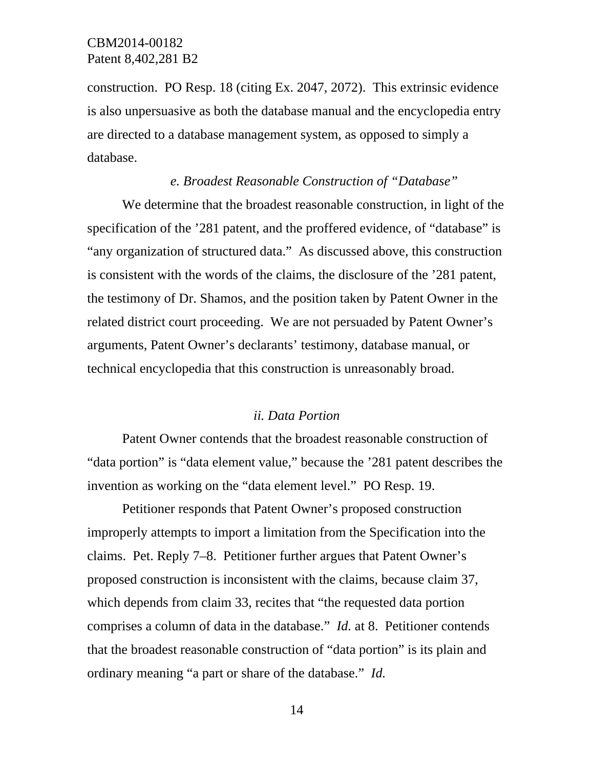construction. PO Resp. 18 (citing Ex. 2047, 2072). This extrinsic evidence is also unpersuasive as both the database manual and the encyclopedia entry are directed to a database management system, as opposed to simply a database.

#### *e. Broadest Reasonable Construction of "Database"*

We determine that the broadest reasonable construction, in light of the specification of the '281 patent, and the proffered evidence, of "database" is "any organization of structured data." As discussed above, this construction is consistent with the words of the claims, the disclosure of the '281 patent, the testimony of Dr. Shamos, and the position taken by Patent Owner in the related district court proceeding. We are not persuaded by Patent Owner's arguments, Patent Owner's declarants' testimony, database manual, or technical encyclopedia that this construction is unreasonably broad.

#### *ii. Data Portion*

 Patent Owner contends that the broadest reasonable construction of "data portion" is "data element value," because the '281 patent describes the invention as working on the "data element level." PO Resp. 19.

 Petitioner responds that Patent Owner's proposed construction improperly attempts to import a limitation from the Specification into the claims. Pet. Reply 7–8. Petitioner further argues that Patent Owner's proposed construction is inconsistent with the claims, because claim 37, which depends from claim 33, recites that "the requested data portion" comprises a column of data in the database." *Id.* at 8. Petitioner contends that the broadest reasonable construction of "data portion" is its plain and ordinary meaning "a part or share of the database." *Id.*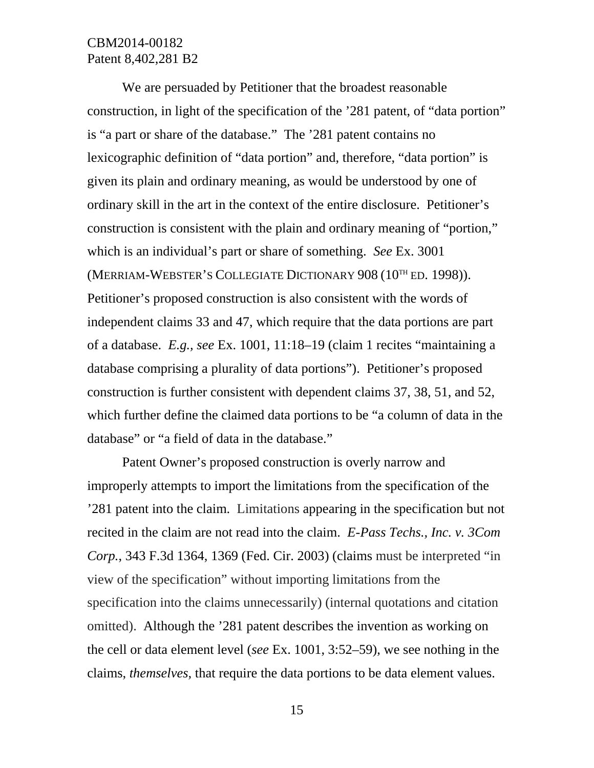We are persuaded by Petitioner that the broadest reasonable construction, in light of the specification of the '281 patent, of "data portion" is "a part or share of the database." The '281 patent contains no lexicographic definition of "data portion" and, therefore, "data portion" is given its plain and ordinary meaning, as would be understood by one of ordinary skill in the art in the context of the entire disclosure. Petitioner's construction is consistent with the plain and ordinary meaning of "portion," which is an individual's part or share of something. *See* Ex. 3001 (MERRIAM-WEBSTER'S COLLEGIATE DICTIONARY 908 (10TH ED. 1998)). Petitioner's proposed construction is also consistent with the words of independent claims 33 and 47, which require that the data portions are part of a database. *E.g., see* Ex. 1001, 11:18–19 (claim 1 recites "maintaining a database comprising a plurality of data portions"). Petitioner's proposed construction is further consistent with dependent claims 37, 38, 51, and 52, which further define the claimed data portions to be "a column of data in the database" or "a field of data in the database."

Patent Owner's proposed construction is overly narrow and improperly attempts to import the limitations from the specification of the '281 patent into the claim. Limitations appearing in the specification but not recited in the claim are not read into the claim. *E-Pass Techs., Inc. v. 3Com Corp.*, 343 F.3d 1364, 1369 (Fed. Cir. 2003) (claims must be interpreted "in view of the specification" without importing limitations from the specification into the claims unnecessarily) (internal quotations and citation omitted). Although the '281 patent describes the invention as working on the cell or data element level (*see* Ex. 1001, 3:52–59), we see nothing in the claims, *themselves,* that require the data portions to be data element values.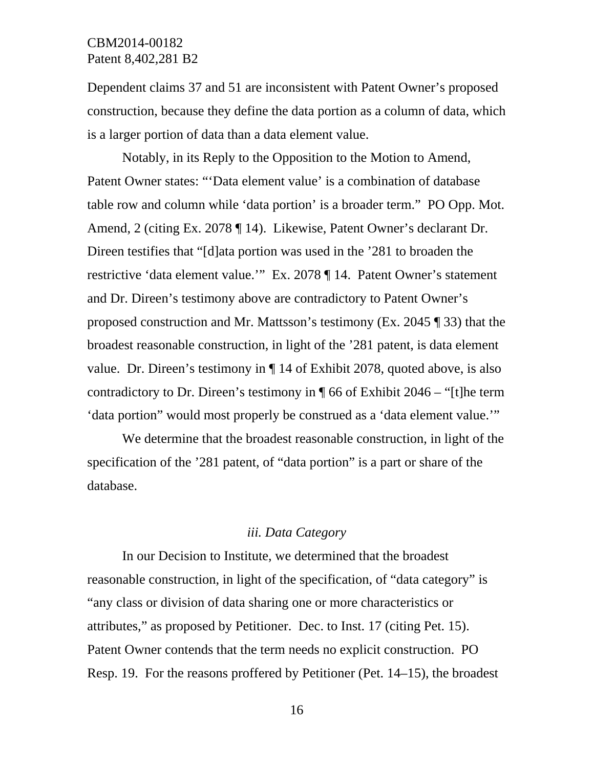Dependent claims 37 and 51 are inconsistent with Patent Owner's proposed construction, because they define the data portion as a column of data, which is a larger portion of data than a data element value.

Notably, in its Reply to the Opposition to the Motion to Amend, Patent Owner states: "'Data element value' is a combination of database table row and column while 'data portion' is a broader term." PO Opp. Mot. Amend, 2 (citing Ex. 2078 ¶ 14). Likewise, Patent Owner's declarant Dr. Direen testifies that "[d]ata portion was used in the '281 to broaden the restrictive 'data element value.'" Ex. 2078 ¶ 14. Patent Owner's statement and Dr. Direen's testimony above are contradictory to Patent Owner's proposed construction and Mr. Mattsson's testimony (Ex. 2045 ¶ 33) that the broadest reasonable construction, in light of the '281 patent, is data element value. Dr. Direen's testimony in ¶ 14 of Exhibit 2078, quoted above, is also contradictory to Dr. Direen's testimony in  $\P$  66 of Exhibit 2046 – "[t]he term 'data portion" would most properly be construed as a 'data element value.'"

We determine that the broadest reasonable construction, in light of the specification of the '281 patent, of "data portion" is a part or share of the database.

#### *iii. Data Category*

In our Decision to Institute, we determined that the broadest reasonable construction, in light of the specification, of "data category" is "any class or division of data sharing one or more characteristics or attributes," as proposed by Petitioner. Dec. to Inst. 17 (citing Pet. 15). Patent Owner contends that the term needs no explicit construction. PO Resp. 19. For the reasons proffered by Petitioner (Pet. 14–15), the broadest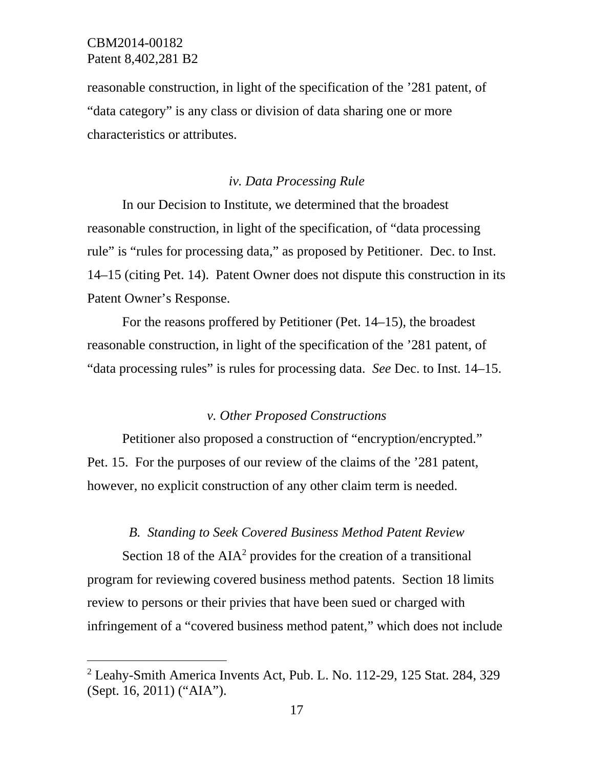-

reasonable construction, in light of the specification of the '281 patent, of "data category" is any class or division of data sharing one or more characteristics or attributes.

#### *iv. Data Processing Rule*

 In our Decision to Institute, we determined that the broadest reasonable construction, in light of the specification, of "data processing rule" is "rules for processing data," as proposed by Petitioner. Dec. to Inst. 14–15 (citing Pet. 14). Patent Owner does not dispute this construction in its Patent Owner's Response.

For the reasons proffered by Petitioner (Pet. 14–15), the broadest reasonable construction, in light of the specification of the '281 patent, of "data processing rules" is rules for processing data. *See* Dec. to Inst. 14–15.

#### *v. Other Proposed Constructions*

Petitioner also proposed a construction of "encryption/encrypted." Pet. 15. For the purposes of our review of the claims of the '281 patent, however, no explicit construction of any other claim term is needed.

#### *B. Standing to Seek Covered Business Method Patent Review*

Section 18 of the AIA<sup>2</sup> provides for the creation of a transitional program for reviewing covered business method patents. Section 18 limits review to persons or their privies that have been sued or charged with infringement of a "covered business method patent," which does not include

<sup>&</sup>lt;sup>2</sup> Leahy-Smith America Invents Act, Pub. L. No. 112-29, 125 Stat. 284, 329 (Sept. 16, 2011) ("AIA").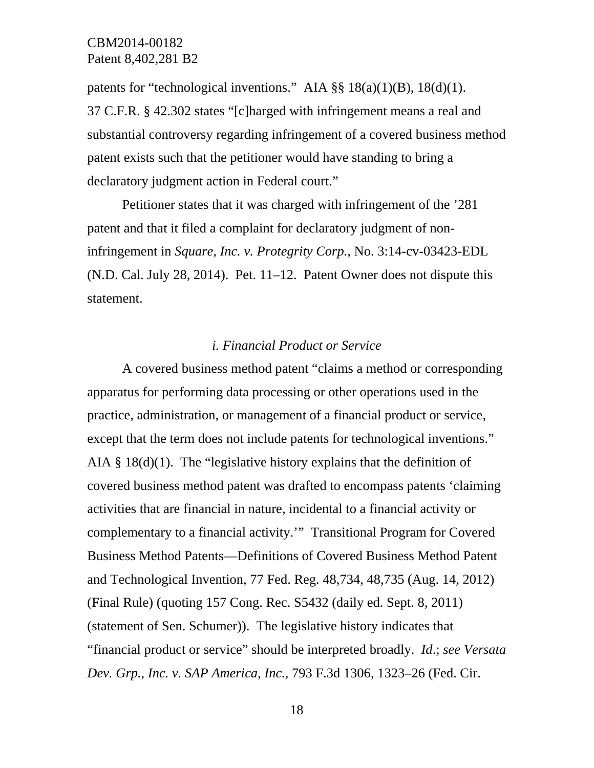patents for "technological inventions." AIA  $\S$ § 18(a)(1)(B), 18(d)(1). 37 C.F.R. § 42.302 states "[c]harged with infringement means a real and substantial controversy regarding infringement of a covered business method patent exists such that the petitioner would have standing to bring a declaratory judgment action in Federal court."

Petitioner states that it was charged with infringement of the '281 patent and that it filed a complaint for declaratory judgment of noninfringement in *Square, Inc. v. Protegrity Corp.*, No. 3:14-cv-03423-EDL (N.D. Cal. July 28, 2014). Pet. 11–12. Patent Owner does not dispute this statement.

## *i. Financial Product or Service*

A covered business method patent "claims a method or corresponding apparatus for performing data processing or other operations used in the practice, administration, or management of a financial product or service, except that the term does not include patents for technological inventions." AIA  $\S$  18(d)(1). The "legislative history explains that the definition of covered business method patent was drafted to encompass patents 'claiming activities that are financial in nature, incidental to a financial activity or complementary to a financial activity.'" Transitional Program for Covered Business Method Patents—Definitions of Covered Business Method Patent and Technological Invention, 77 Fed. Reg. 48,734, 48,735 (Aug. 14, 2012) (Final Rule) (quoting 157 Cong. Rec. S5432 (daily ed. Sept. 8, 2011) (statement of Sen. Schumer)). The legislative history indicates that "financial product or service" should be interpreted broadly. *Id*.; *see Versata Dev. Grp., Inc. v. SAP America, Inc.,* 793 F.3d 1306, 1323–26 (Fed. Cir.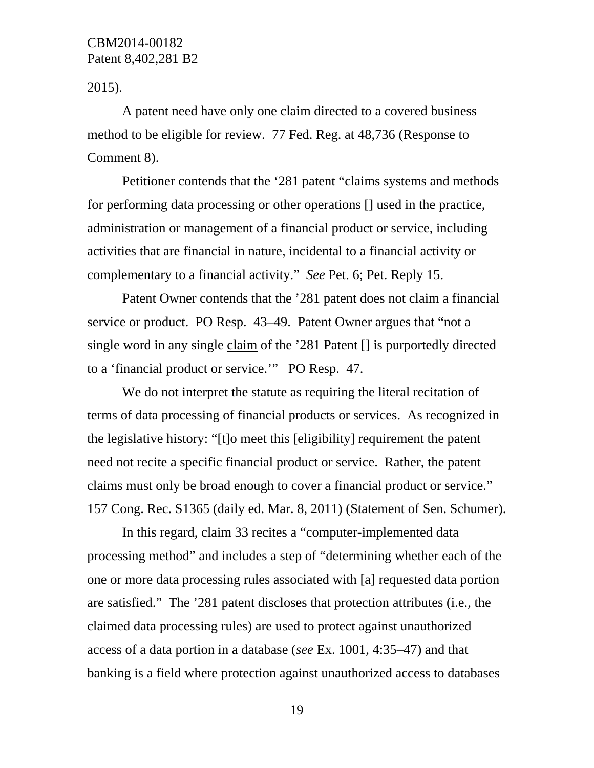2015).

A patent need have only one claim directed to a covered business method to be eligible for review. 77 Fed. Reg. at 48,736 (Response to Comment 8).

Petitioner contends that the '281 patent "claims systems and methods for performing data processing or other operations [] used in the practice, administration or management of a financial product or service, including activities that are financial in nature, incidental to a financial activity or complementary to a financial activity." *See* Pet. 6; Pet. Reply 15.

Patent Owner contends that the '281 patent does not claim a financial service or product. PO Resp. 43–49. Patent Owner argues that "not a single word in any single claim of the '281 Patent [] is purportedly directed to a 'financial product or service.'" PO Resp. 47.

We do not interpret the statute as requiring the literal recitation of terms of data processing of financial products or services. As recognized in the legislative history: "[t]o meet this [eligibility] requirement the patent need not recite a specific financial product or service. Rather, the patent claims must only be broad enough to cover a financial product or service." 157 Cong. Rec. S1365 (daily ed. Mar. 8, 2011) (Statement of Sen. Schumer).

In this regard, claim 33 recites a "computer-implemented data processing method" and includes a step of "determining whether each of the one or more data processing rules associated with [a] requested data portion are satisfied." The '281 patent discloses that protection attributes (i.e., the claimed data processing rules) are used to protect against unauthorized access of a data portion in a database (*see* Ex. 1001, 4:35–47) and that banking is a field where protection against unauthorized access to databases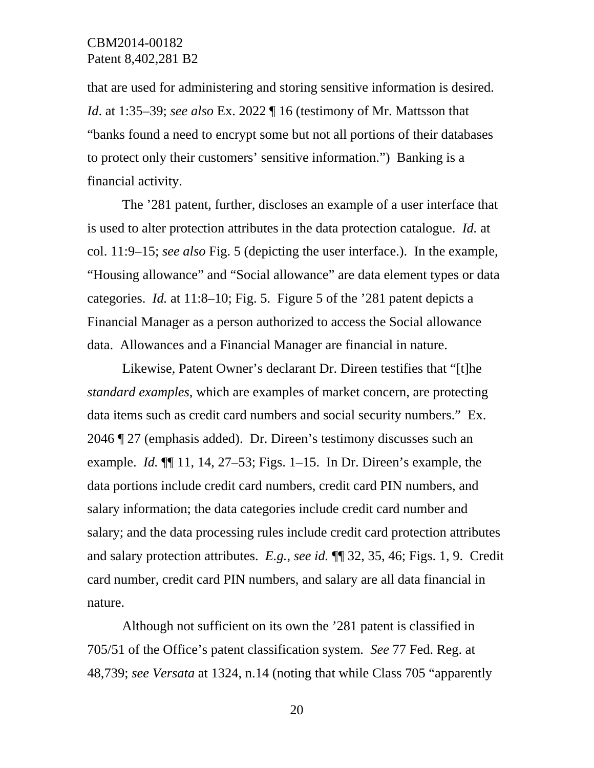that are used for administering and storing sensitive information is desired. *Id*. at 1:35–39; *see also* Ex. 2022 ¶ 16 (testimony of Mr. Mattsson that "banks found a need to encrypt some but not all portions of their databases to protect only their customers' sensitive information.") Banking is a financial activity.

The '281 patent, further, discloses an example of a user interface that is used to alter protection attributes in the data protection catalogue. *Id.* at col. 11:9–15; *see also* Fig. 5 (depicting the user interface.). In the example, "Housing allowance" and "Social allowance" are data element types or data categories. *Id.* at 11:8–10; Fig. 5. Figure 5 of the '281 patent depicts a Financial Manager as a person authorized to access the Social allowance data. Allowances and a Financial Manager are financial in nature.

Likewise, Patent Owner's declarant Dr. Direen testifies that "[t]he *standard examples*, which are examples of market concern, are protecting data items such as credit card numbers and social security numbers." Ex. 2046 ¶ 27 (emphasis added). Dr. Direen's testimony discusses such an example. *Id.* ¶¶ 11, 14, 27–53; Figs. 1–15. In Dr. Direen's example, the data portions include credit card numbers, credit card PIN numbers, and salary information; the data categories include credit card number and salary; and the data processing rules include credit card protection attributes and salary protection attributes. *E.g., see id.* ¶¶ 32, 35, 46; Figs. 1, 9. Credit card number, credit card PIN numbers, and salary are all data financial in nature.

Although not sufficient on its own the '281 patent is classified in 705/51 of the Office's patent classification system. *See* 77 Fed. Reg. at 48,739; *see Versata* at 1324, n.14 (noting that while Class 705 "apparently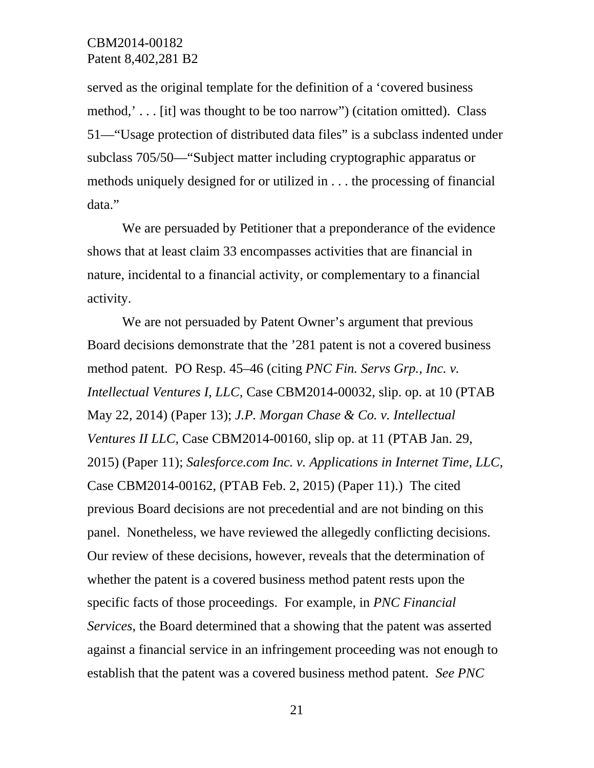served as the original template for the definition of a 'covered business method,' . . . [it] was thought to be too narrow") (citation omitted). Class 51—"Usage protection of distributed data files" is a subclass indented under subclass 705/50—"Subject matter including cryptographic apparatus or methods uniquely designed for or utilized in . . . the processing of financial data."

We are persuaded by Petitioner that a preponderance of the evidence shows that at least claim 33 encompasses activities that are financial in nature, incidental to a financial activity, or complementary to a financial activity.

We are not persuaded by Patent Owner's argument that previous Board decisions demonstrate that the '281 patent is not a covered business method patent. PO Resp. 45–46 (citing *PNC Fin. Servs Grp., Inc. v. Intellectual Ventures I, LLC,* Case CBM2014-00032, slip. op. at 10 (PTAB May 22, 2014) (Paper 13); *J.P. Morgan Chase & Co. v. Intellectual Ventures II LLC,* Case CBM2014-00160, slip op. at 11 (PTAB Jan. 29, 2015) (Paper 11); *Salesforce.com Inc. v. Applications in Internet Time, LLC,*  Case CBM2014-00162, (PTAB Feb. 2, 2015) (Paper 11).) The cited previous Board decisions are not precedential and are not binding on this panel. Nonetheless, we have reviewed the allegedly conflicting decisions. Our review of these decisions, however, reveals that the determination of whether the patent is a covered business method patent rests upon the specific facts of those proceedings. For example, in *PNC Financial Services*, the Board determined that a showing that the patent was asserted against a financial service in an infringement proceeding was not enough to establish that the patent was a covered business method patent. *See PNC*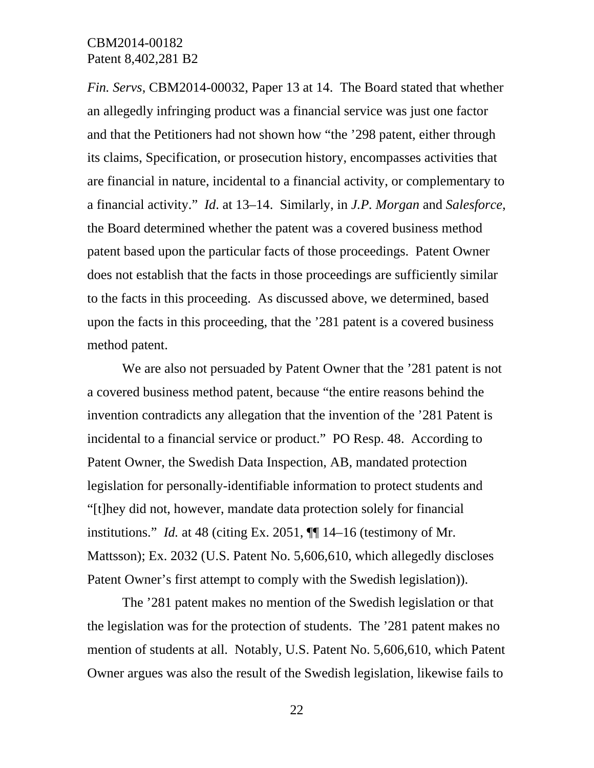*Fin. Servs*, CBM2014-00032, Paper 13 at 14. The Board stated that whether an allegedly infringing product was a financial service was just one factor and that the Petitioners had not shown how "the '298 patent, either through its claims, Specification, or prosecution history, encompasses activities that are financial in nature, incidental to a financial activity, or complementary to a financial activity." *Id*. at 13–14. Similarly, in *J.P. Morgan* and *Salesforce*, the Board determined whether the patent was a covered business method patent based upon the particular facts of those proceedings. Patent Owner does not establish that the facts in those proceedings are sufficiently similar to the facts in this proceeding. As discussed above, we determined, based upon the facts in this proceeding, that the '281 patent is a covered business method patent.

We are also not persuaded by Patent Owner that the '281 patent is not a covered business method patent, because "the entire reasons behind the invention contradicts any allegation that the invention of the '281 Patent is incidental to a financial service or product." PO Resp. 48. According to Patent Owner, the Swedish Data Inspection, AB, mandated protection legislation for personally-identifiable information to protect students and "[t]hey did not, however, mandate data protection solely for financial institutions." *Id.* at 48 (citing Ex. 2051, ¶¶ 14–16 (testimony of Mr. Mattsson); Ex. 2032 (U.S. Patent No. 5,606,610, which allegedly discloses Patent Owner's first attempt to comply with the Swedish legislation)).

 The '281 patent makes no mention of the Swedish legislation or that the legislation was for the protection of students. The '281 patent makes no mention of students at all. Notably, U.S. Patent No. 5,606,610, which Patent Owner argues was also the result of the Swedish legislation, likewise fails to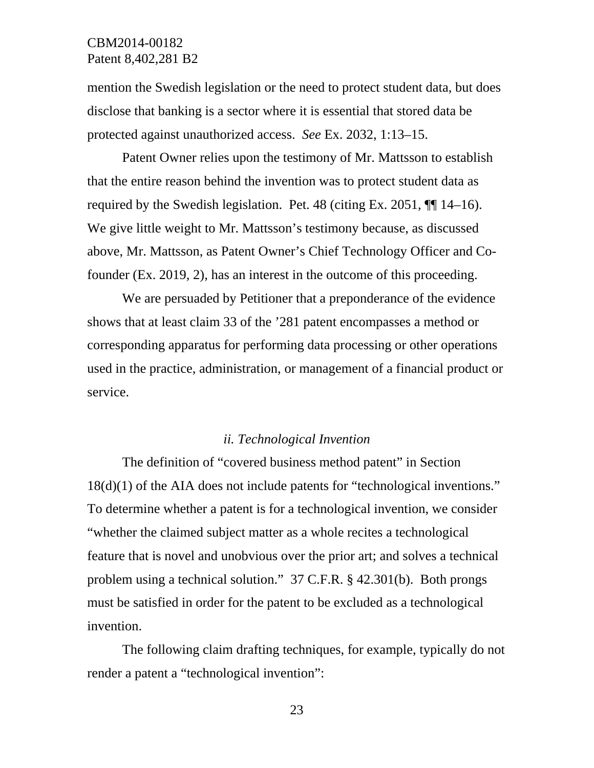mention the Swedish legislation or the need to protect student data, but does disclose that banking is a sector where it is essential that stored data be protected against unauthorized access. *See* Ex. 2032, 1:13–15.

Patent Owner relies upon the testimony of Mr. Mattsson to establish that the entire reason behind the invention was to protect student data as required by the Swedish legislation. Pet. 48 (citing Ex. 2051, ¶¶ 14–16). We give little weight to Mr. Mattsson's testimony because, as discussed above, Mr. Mattsson, as Patent Owner's Chief Technology Officer and Cofounder (Ex. 2019, 2), has an interest in the outcome of this proceeding.

We are persuaded by Petitioner that a preponderance of the evidence shows that at least claim 33 of the '281 patent encompasses a method or corresponding apparatus for performing data processing or other operations used in the practice, administration, or management of a financial product or service.

#### *ii. Technological Invention*

The definition of "covered business method patent" in Section 18(d)(1) of the AIA does not include patents for "technological inventions." To determine whether a patent is for a technological invention, we consider "whether the claimed subject matter as a whole recites a technological feature that is novel and unobvious over the prior art; and solves a technical problem using a technical solution." 37 C.F.R. § 42.301(b). Both prongs must be satisfied in order for the patent to be excluded as a technological invention.

The following claim drafting techniques, for example, typically do not render a patent a "technological invention":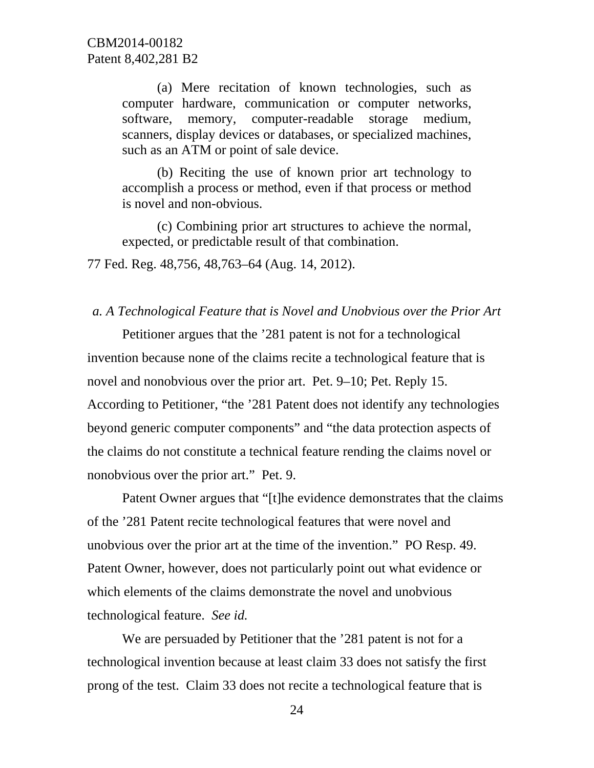(a) Mere recitation of known technologies, such as computer hardware, communication or computer networks, software, memory, computer-readable storage medium, scanners, display devices or databases, or specialized machines, such as an ATM or point of sale device.

(b) Reciting the use of known prior art technology to accomplish a process or method, even if that process or method is novel and non-obvious.

(c) Combining prior art structures to achieve the normal, expected, or predictable result of that combination.

77 Fed. Reg. 48,756, 48,763–64 (Aug. 14, 2012).

#### *a. A Technological Feature that is Novel and Unobvious over the Prior Art*

Petitioner argues that the '281 patent is not for a technological invention because none of the claims recite a technological feature that is novel and nonobvious over the prior art. Pet. 9–10; Pet. Reply 15. According to Petitioner, "the '281 Patent does not identify any technologies beyond generic computer components" and "the data protection aspects of the claims do not constitute a technical feature rending the claims novel or nonobvious over the prior art." Pet. 9.

Patent Owner argues that "[t]he evidence demonstrates that the claims of the '281 Patent recite technological features that were novel and unobvious over the prior art at the time of the invention." PO Resp. 49. Patent Owner, however, does not particularly point out what evidence or which elements of the claims demonstrate the novel and unobvious technological feature. *See id.* 

We are persuaded by Petitioner that the '281 patent is not for a technological invention because at least claim 33 does not satisfy the first prong of the test. Claim 33 does not recite a technological feature that is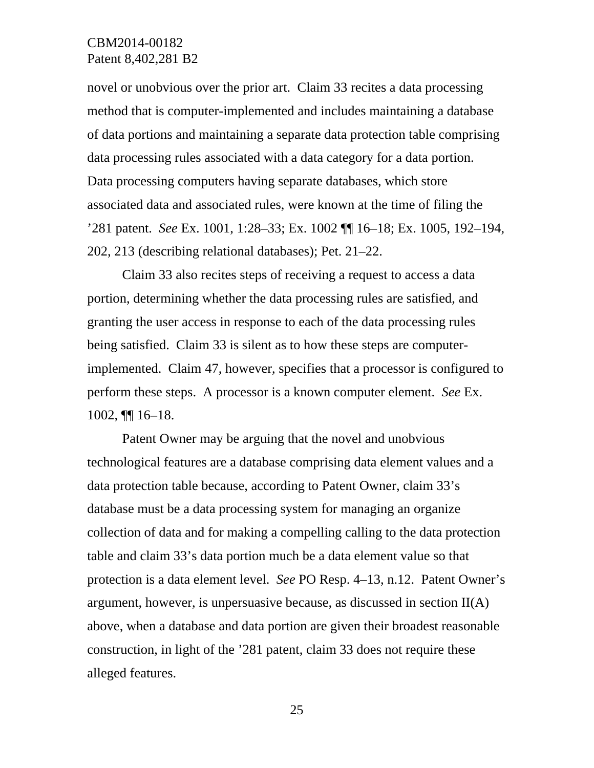novel or unobvious over the prior art. Claim 33 recites a data processing method that is computer-implemented and includes maintaining a database of data portions and maintaining a separate data protection table comprising data processing rules associated with a data category for a data portion. Data processing computers having separate databases, which store associated data and associated rules, were known at the time of filing the '281 patent. *See* Ex. 1001, 1:28–33; Ex. 1002 ¶¶ 16–18; Ex. 1005, 192–194, 202, 213 (describing relational databases); Pet. 21–22.

Claim 33 also recites steps of receiving a request to access a data portion, determining whether the data processing rules are satisfied, and granting the user access in response to each of the data processing rules being satisfied. Claim 33 is silent as to how these steps are computerimplemented. Claim 47, however, specifies that a processor is configured to perform these steps. A processor is a known computer element. *See* Ex. 1002, ¶¶ 16–18.

Patent Owner may be arguing that the novel and unobvious technological features are a database comprising data element values and a data protection table because, according to Patent Owner, claim 33's database must be a data processing system for managing an organize collection of data and for making a compelling calling to the data protection table and claim 33's data portion much be a data element value so that protection is a data element level. *See* PO Resp. 4–13, n.12. Patent Owner's argument, however, is unpersuasive because, as discussed in section II(A) above, when a database and data portion are given their broadest reasonable construction, in light of the '281 patent, claim 33 does not require these alleged features.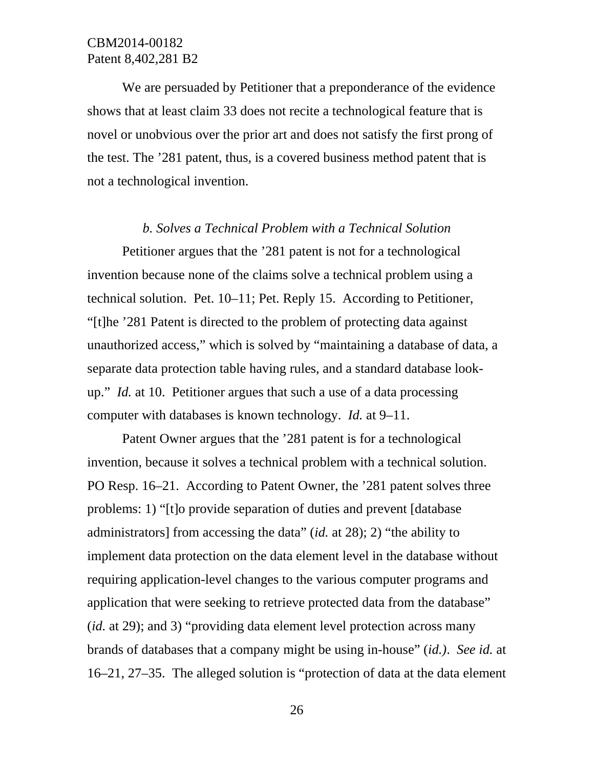We are persuaded by Petitioner that a preponderance of the evidence shows that at least claim 33 does not recite a technological feature that is novel or unobvious over the prior art and does not satisfy the first prong of the test. The '281 patent, thus, is a covered business method patent that is not a technological invention.

#### *b. Solves a Technical Problem with a Technical Solution*

Petitioner argues that the '281 patent is not for a technological invention because none of the claims solve a technical problem using a technical solution. Pet. 10–11; Pet. Reply 15. According to Petitioner, "[t]he '281 Patent is directed to the problem of protecting data against unauthorized access," which is solved by "maintaining a database of data, a separate data protection table having rules, and a standard database lookup." *Id.* at 10. Petitioner argues that such a use of a data processing computer with databases is known technology. *Id.* at 9–11.

Patent Owner argues that the '281 patent is for a technological invention, because it solves a technical problem with a technical solution. PO Resp. 16–21. According to Patent Owner, the '281 patent solves three problems: 1) "[t]o provide separation of duties and prevent [database administrators] from accessing the data" (*id.* at 28); 2) "the ability to implement data protection on the data element level in the database without requiring application-level changes to the various computer programs and application that were seeking to retrieve protected data from the database" (*id.* at 29); and 3) "providing data element level protection across many brands of databases that a company might be using in-house" (*id.)*. *See id.* at 16–21, 27–35. The alleged solution is "protection of data at the data element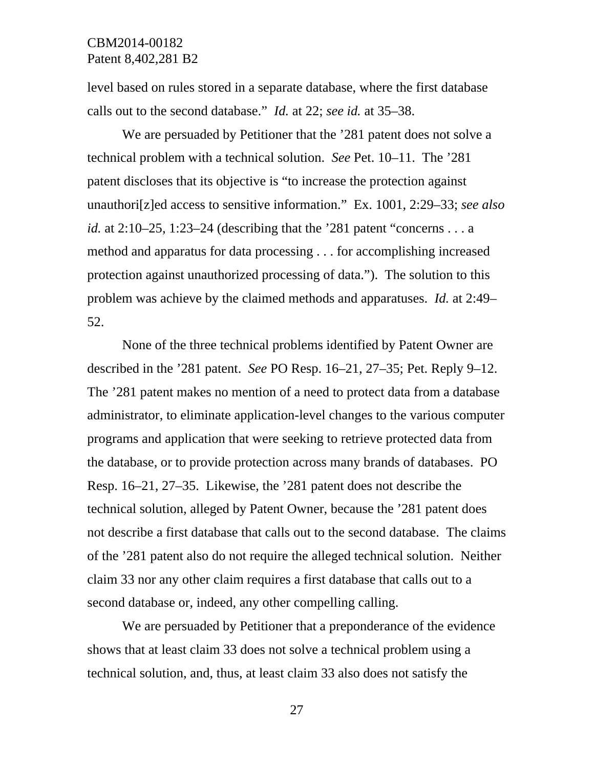level based on rules stored in a separate database, where the first database calls out to the second database." *Id.* at 22; *see id.* at 35–38.

We are persuaded by Petitioner that the '281 patent does not solve a technical problem with a technical solution. *See* Pet. 10–11. The '281 patent discloses that its objective is "to increase the protection against unauthori[z]ed access to sensitive information." Ex. 1001, 2:29–33; *see also id.* at 2:10–25, 1:23–24 (describing that the '281 patent "concerns . . . a method and apparatus for data processing . . . for accomplishing increased protection against unauthorized processing of data."). The solution to this problem was achieve by the claimed methods and apparatuses. *Id.* at 2:49– 52.

 None of the three technical problems identified by Patent Owner are described in the '281 patent. *See* PO Resp. 16–21, 27–35; Pet. Reply 9–12. The '281 patent makes no mention of a need to protect data from a database administrator, to eliminate application-level changes to the various computer programs and application that were seeking to retrieve protected data from the database, or to provide protection across many brands of databases. PO Resp. 16–21, 27–35. Likewise, the '281 patent does not describe the technical solution, alleged by Patent Owner, because the '281 patent does not describe a first database that calls out to the second database. The claims of the '281 patent also do not require the alleged technical solution. Neither claim 33 nor any other claim requires a first database that calls out to a second database or, indeed, any other compelling calling.

We are persuaded by Petitioner that a preponderance of the evidence shows that at least claim 33 does not solve a technical problem using a technical solution, and, thus, at least claim 33 also does not satisfy the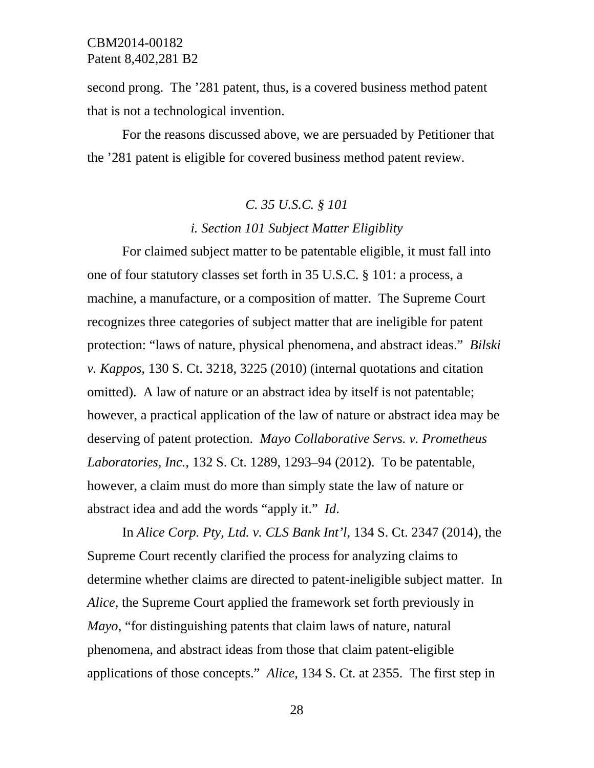second prong. The '281 patent, thus, is a covered business method patent that is not a technological invention.

 For the reasons discussed above, we are persuaded by Petitioner that the '281 patent is eligible for covered business method patent review.

# *C. 35 U.S.C. § 101*

## *i. Section 101 Subject Matter Eligiblity*

For claimed subject matter to be patentable eligible, it must fall into one of four statutory classes set forth in 35 U.S.C. § 101: a process, a machine, a manufacture, or a composition of matter. The Supreme Court recognizes three categories of subject matter that are ineligible for patent protection: "laws of nature, physical phenomena, and abstract ideas." *Bilski v. Kappos*, 130 S. Ct. 3218, 3225 (2010) (internal quotations and citation omitted). A law of nature or an abstract idea by itself is not patentable; however, a practical application of the law of nature or abstract idea may be deserving of patent protection. *Mayo Collaborative Servs. v. Prometheus Laboratories, Inc.*, 132 S. Ct. 1289, 1293–94 (2012). To be patentable, however, a claim must do more than simply state the law of nature or abstract idea and add the words "apply it." *Id*.

In *Alice Corp. Pty, Ltd. v. CLS Bank Int'l*, 134 S. Ct. 2347 (2014), the Supreme Court recently clarified the process for analyzing claims to determine whether claims are directed to patent-ineligible subject matter. In *Alice*, the Supreme Court applied the framework set forth previously in *Mayo*, "for distinguishing patents that claim laws of nature, natural phenomena, and abstract ideas from those that claim patent-eligible applications of those concepts." *Alice,* 134 S. Ct. at 2355. The first step in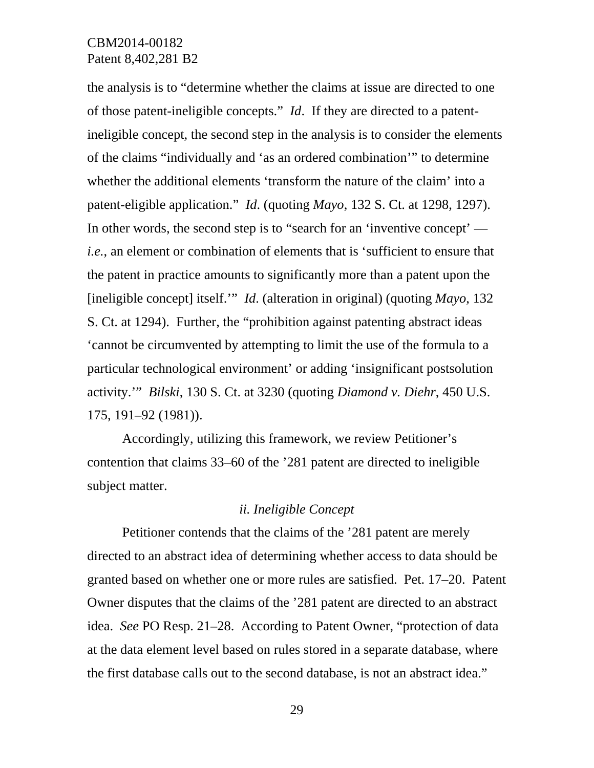the analysis is to "determine whether the claims at issue are directed to one of those patent-ineligible concepts." *Id*. If they are directed to a patentineligible concept, the second step in the analysis is to consider the elements of the claims "individually and 'as an ordered combination'" to determine whether the additional elements 'transform the nature of the claim' into a patent-eligible application." *Id*. (quoting *Mayo*, 132 S. Ct. at 1298, 1297). In other words, the second step is to "search for an 'inventive concept' *i.e.*, an element or combination of elements that is 'sufficient to ensure that the patent in practice amounts to significantly more than a patent upon the [ineligible concept] itself.'" *Id*. (alteration in original) (quoting *Mayo*, 132 S. Ct. at 1294). Further, the "prohibition against patenting abstract ideas 'cannot be circumvented by attempting to limit the use of the formula to a particular technological environment' or adding 'insignificant postsolution activity.'" *Bilski*, 130 S. Ct. at 3230 (quoting *Diamond v. Diehr*, 450 U.S. 175, 191–92 (1981)).

Accordingly, utilizing this framework, we review Petitioner's contention that claims 33–60 of the '281 patent are directed to ineligible subject matter.

## *ii. Ineligible Concept*

Petitioner contends that the claims of the '281 patent are merely directed to an abstract idea of determining whether access to data should be granted based on whether one or more rules are satisfied. Pet. 17–20. Patent Owner disputes that the claims of the '281 patent are directed to an abstract idea. *See* PO Resp. 21–28. According to Patent Owner, "protection of data at the data element level based on rules stored in a separate database, where the first database calls out to the second database, is not an abstract idea."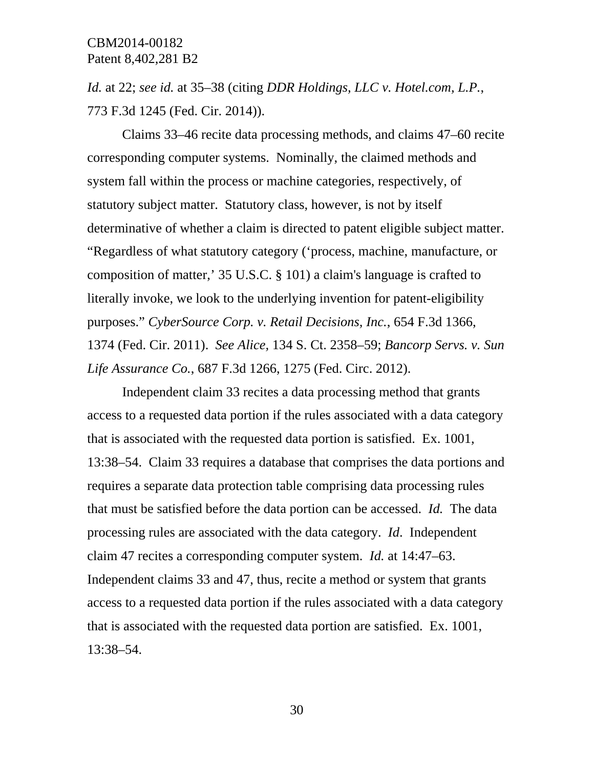*Id.* at 22; *see id.* at 35–38 (citing *DDR Holdings, LLC v. Hotel.com, L.P.*, 773 F.3d 1245 (Fed. Cir. 2014)).

 Claims 33–46 recite data processing methods, and claims 47–60 recite corresponding computer systems. Nominally, the claimed methods and system fall within the process or machine categories, respectively, of statutory subject matter. Statutory class, however, is not by itself determinative of whether a claim is directed to patent eligible subject matter. "Regardless of what statutory category ('process, machine, manufacture, or composition of matter,' 35 U.S.C. § 101) a claim's language is crafted to literally invoke, we look to the underlying invention for patent-eligibility purposes." *CyberSource Corp. v. Retail Decisions, Inc.*, 654 F.3d 1366, 1374 (Fed. Cir. 2011). *See Alice,* 134 S. Ct. 2358–59; *Bancorp Servs. v. Sun Life Assurance Co.*, 687 F.3d 1266, 1275 (Fed. Circ. 2012).

Independent claim 33 recites a data processing method that grants access to a requested data portion if the rules associated with a data category that is associated with the requested data portion is satisfied. Ex. 1001, 13:38–54. Claim 33 requires a database that comprises the data portions and requires a separate data protection table comprising data processing rules that must be satisfied before the data portion can be accessed. *Id.* The data processing rules are associated with the data category. *Id*. Independent claim 47 recites a corresponding computer system. *Id.* at 14:47–63. Independent claims 33 and 47, thus, recite a method or system that grants access to a requested data portion if the rules associated with a data category that is associated with the requested data portion are satisfied. Ex. 1001, 13:38–54.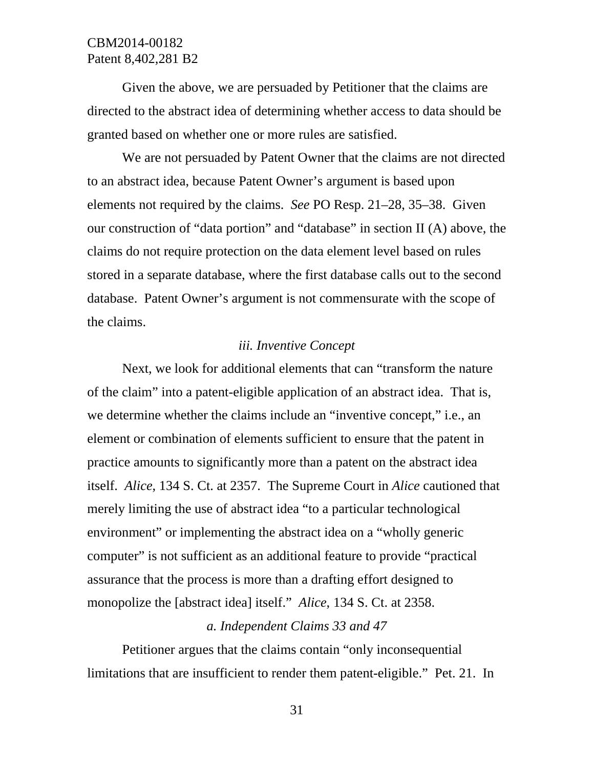Given the above, we are persuaded by Petitioner that the claims are directed to the abstract idea of determining whether access to data should be granted based on whether one or more rules are satisfied.

We are not persuaded by Patent Owner that the claims are not directed to an abstract idea, because Patent Owner's argument is based upon elements not required by the claims. *See* PO Resp. 21–28, 35–38. Given our construction of "data portion" and "database" in section II (A) above, the claims do not require protection on the data element level based on rules stored in a separate database, where the first database calls out to the second database. Patent Owner's argument is not commensurate with the scope of the claims.

#### *iii. Inventive Concept*

Next, we look for additional elements that can "transform the nature of the claim" into a patent-eligible application of an abstract idea. That is, we determine whether the claims include an "inventive concept," i.e., an element or combination of elements sufficient to ensure that the patent in practice amounts to significantly more than a patent on the abstract idea itself. *Alice*, 134 S. Ct. at 2357. The Supreme Court in *Alice* cautioned that merely limiting the use of abstract idea "to a particular technological environment" or implementing the abstract idea on a "wholly generic computer" is not sufficient as an additional feature to provide "practical assurance that the process is more than a drafting effort designed to monopolize the [abstract idea] itself." *Alice*, 134 S. Ct. at 2358.

## *a. Independent Claims 33 and 47*

Petitioner argues that the claims contain "only inconsequential limitations that are insufficient to render them patent-eligible." Pet. 21. In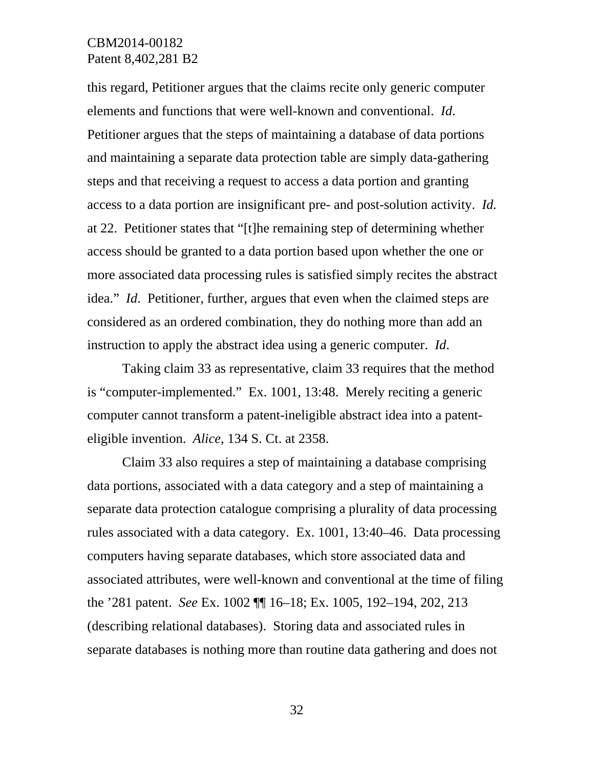this regard, Petitioner argues that the claims recite only generic computer elements and functions that were well-known and conventional. *Id*. Petitioner argues that the steps of maintaining a database of data portions and maintaining a separate data protection table are simply data-gathering steps and that receiving a request to access a data portion and granting access to a data portion are insignificant pre- and post-solution activity. *Id.*  at 22. Petitioner states that "[t]he remaining step of determining whether access should be granted to a data portion based upon whether the one or more associated data processing rules is satisfied simply recites the abstract idea." *Id*. Petitioner, further, argues that even when the claimed steps are considered as an ordered combination, they do nothing more than add an instruction to apply the abstract idea using a generic computer. *Id*.

 Taking claim 33 as representative, claim 33 requires that the method is "computer-implemented." Ex. 1001, 13:48. Merely reciting a generic computer cannot transform a patent-ineligible abstract idea into a patenteligible invention. *Alice*, 134 S. Ct. at 2358.

Claim 33 also requires a step of maintaining a database comprising data portions, associated with a data category and a step of maintaining a separate data protection catalogue comprising a plurality of data processing rules associated with a data category. Ex. 1001, 13:40–46. Data processing computers having separate databases, which store associated data and associated attributes, were well-known and conventional at the time of filing the '281 patent. *See* Ex. 1002 ¶¶ 16–18; Ex. 1005, 192–194, 202, 213 (describing relational databases). Storing data and associated rules in separate databases is nothing more than routine data gathering and does not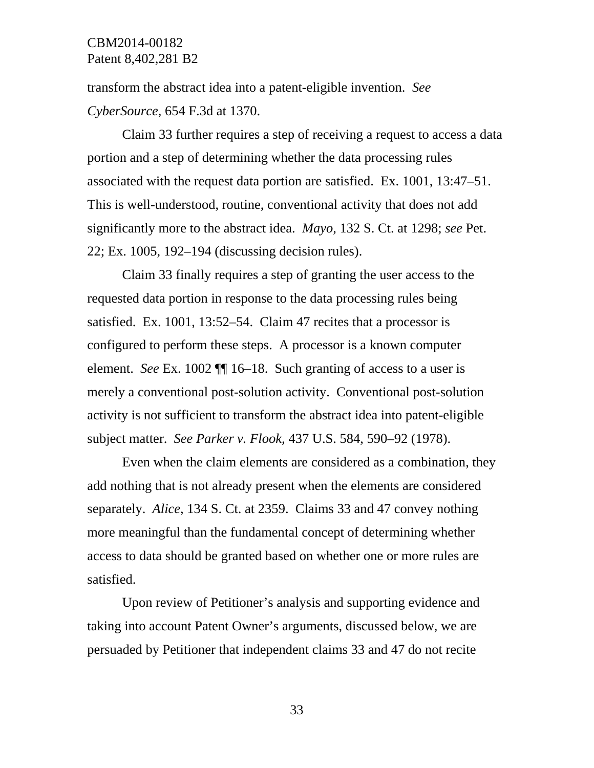transform the abstract idea into a patent-eligible invention. *See CyberSource,* 654 F.3d at 1370.

Claim 33 further requires a step of receiving a request to access a data portion and a step of determining whether the data processing rules associated with the request data portion are satisfied. Ex. 1001, 13:47–51. This is well-understood, routine, conventional activity that does not add significantly more to the abstract idea. *Mayo,* 132 S. Ct. at 1298; *see* Pet. 22; Ex. 1005, 192–194 (discussing decision rules).

Claim 33 finally requires a step of granting the user access to the requested data portion in response to the data processing rules being satisfied. Ex. 1001, 13:52–54. Claim 47 recites that a processor is configured to perform these steps. A processor is a known computer element. *See* Ex. 1002 ¶¶ 16–18.Such granting of access to a user is merely a conventional post-solution activity. Conventional post-solution activity is not sufficient to transform the abstract idea into patent-eligible subject matter. *See Parker v. Flook,* 437 U.S. 584, 590–92 (1978).

 Even when the claim elements are considered as a combination, they add nothing that is not already present when the elements are considered separately. *Alice*, 134 S. Ct. at 2359. Claims 33 and 47 convey nothing more meaningful than the fundamental concept of determining whether access to data should be granted based on whether one or more rules are satisfied.

Upon review of Petitioner's analysis and supporting evidence and taking into account Patent Owner's arguments, discussed below, we are persuaded by Petitioner that independent claims 33 and 47 do not recite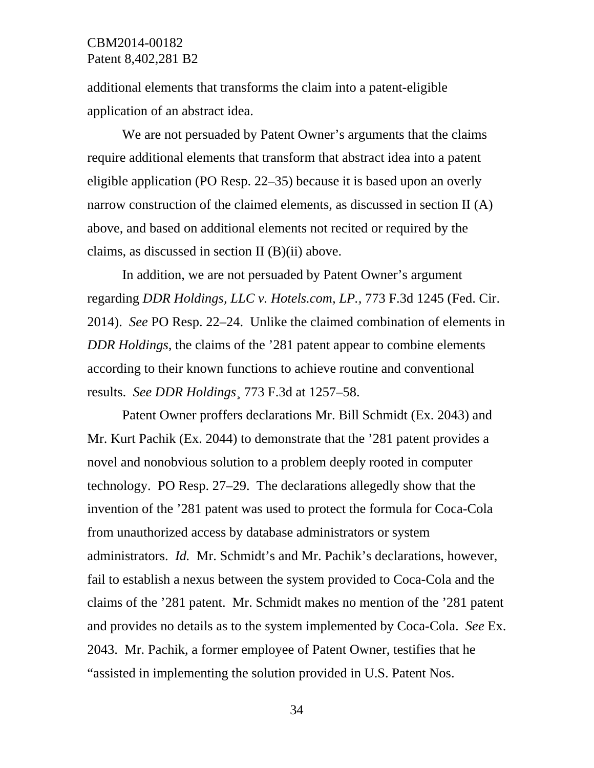additional elements that transforms the claim into a patent-eligible application of an abstract idea.

We are not persuaded by Patent Owner's arguments that the claims require additional elements that transform that abstract idea into a patent eligible application (PO Resp. 22–35) because it is based upon an overly narrow construction of the claimed elements, as discussed in section II (A) above, and based on additional elements not recited or required by the claims, as discussed in section II (B)(ii) above.

In addition, we are not persuaded by Patent Owner's argument regarding *DDR Holdings, LLC v. Hotels.com, LP.,* 773 F.3d 1245 (Fed. Cir. 2014). *See* PO Resp. 22–24. Unlike the claimed combination of elements in *DDR Holdings,* the claims of the '281 patent appear to combine elements according to their known functions to achieve routine and conventional results. *See DDR Holdings*¸ 773 F.3d at 1257–58.

 Patent Owner proffers declarations Mr. Bill Schmidt (Ex. 2043) and Mr. Kurt Pachik (Ex. 2044) to demonstrate that the '281 patent provides a novel and nonobvious solution to a problem deeply rooted in computer technology. PO Resp. 27–29. The declarations allegedly show that the invention of the '281 patent was used to protect the formula for Coca-Cola from unauthorized access by database administrators or system administrators. *Id.* Mr. Schmidt's and Mr. Pachik's declarations, however, fail to establish a nexus between the system provided to Coca-Cola and the claims of the '281 patent. Mr. Schmidt makes no mention of the '281 patent and provides no details as to the system implemented by Coca-Cola. *See* Ex. 2043. Mr. Pachik, a former employee of Patent Owner, testifies that he "assisted in implementing the solution provided in U.S. Patent Nos.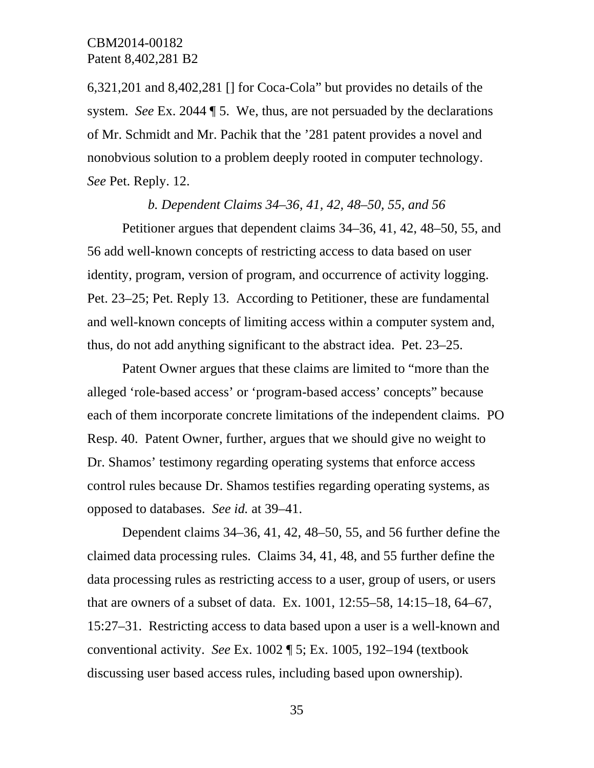6,321,201 and 8,402,281 [] for Coca-Cola" but provides no details of the system. *See* Ex. 2044 ¶ 5. We, thus, are not persuaded by the declarations of Mr. Schmidt and Mr. Pachik that the '281 patent provides a novel and nonobvious solution to a problem deeply rooted in computer technology. *See* Pet. Reply. 12.

#### *b. Dependent Claims 34–36, 41, 42, 48–50, 55, and 56*

Petitioner argues that dependent claims 34–36, 41, 42, 48–50, 55, and 56 add well-known concepts of restricting access to data based on user identity, program, version of program, and occurrence of activity logging. Pet. 23–25; Pet. Reply 13. According to Petitioner, these are fundamental and well-known concepts of limiting access within a computer system and, thus, do not add anything significant to the abstract idea. Pet. 23–25.

Patent Owner argues that these claims are limited to "more than the alleged 'role-based access' or 'program-based access' concepts" because each of them incorporate concrete limitations of the independent claims. PO Resp. 40. Patent Owner, further, argues that we should give no weight to Dr. Shamos' testimony regarding operating systems that enforce access control rules because Dr. Shamos testifies regarding operating systems, as opposed to databases. *See id.* at 39–41.

Dependent claims 34–36, 41, 42, 48–50, 55, and 56 further define the claimed data processing rules. Claims 34, 41, 48, and 55 further define the data processing rules as restricting access to a user, group of users, or users that are owners of a subset of data. Ex. 1001, 12:55–58, 14:15–18, 64–67, 15:27–31. Restricting access to data based upon a user is a well-known and conventional activity. *See* Ex. 1002 ¶ 5; Ex. 1005, 192–194 (textbook discussing user based access rules, including based upon ownership).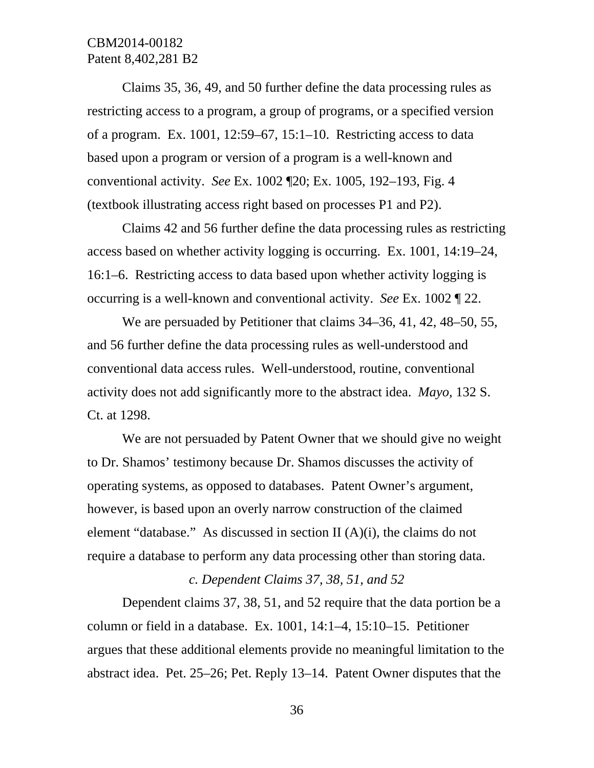Claims 35, 36, 49, and 50 further define the data processing rules as restricting access to a program, a group of programs, or a specified version of a program. Ex. 1001, 12:59–67, 15:1–10. Restricting access to data based upon a program or version of a program is a well-known and conventional activity. *See* Ex. 1002 ¶20; Ex. 1005, 192–193, Fig. 4 (textbook illustrating access right based on processes P1 and P2).

 Claims 42 and 56 further define the data processing rules as restricting access based on whether activity logging is occurring. Ex. 1001, 14:19–24, 16:1–6. Restricting access to data based upon whether activity logging is occurring is a well-known and conventional activity. *See* Ex. 1002 ¶ 22.

We are persuaded by Petitioner that claims 34–36, 41, 42, 48–50, 55, and 56 further define the data processing rules as well-understood and conventional data access rules. Well-understood, routine, conventional activity does not add significantly more to the abstract idea. *Mayo,* 132 S. Ct. at 1298.

We are not persuaded by Patent Owner that we should give no weight to Dr. Shamos' testimony because Dr. Shamos discusses the activity of operating systems, as opposed to databases. Patent Owner's argument, however, is based upon an overly narrow construction of the claimed element "database." As discussed in section II (A)(i), the claims do not require a database to perform any data processing other than storing data.

## *c. Dependent Claims 37, 38, 51, and 52*

Dependent claims 37, 38, 51, and 52 require that the data portion be a column or field in a database. Ex. 1001, 14:1–4, 15:10–15. Petitioner argues that these additional elements provide no meaningful limitation to the abstract idea. Pet. 25–26; Pet. Reply 13–14. Patent Owner disputes that the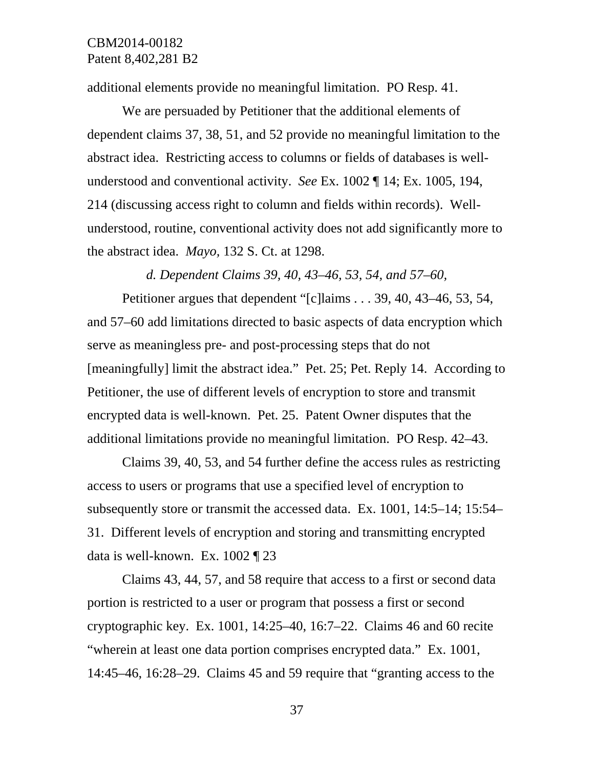additional elements provide no meaningful limitation. PO Resp. 41.

We are persuaded by Petitioner that the additional elements of dependent claims 37, 38, 51, and 52 provide no meaningful limitation to the abstract idea. Restricting access to columns or fields of databases is wellunderstood and conventional activity. *See* Ex. 1002 ¶ 14; Ex. 1005, 194, 214 (discussing access right to column and fields within records). Wellunderstood, routine, conventional activity does not add significantly more to the abstract idea. *Mayo,* 132 S. Ct. at 1298.

*d. Dependent Claims 39, 40, 43–46, 53, 54, and 57–60,* 

Petitioner argues that dependent "[c]laims . . . 39, 40, 43–46, 53, 54, and 57–60 add limitations directed to basic aspects of data encryption which serve as meaningless pre- and post-processing steps that do not [meaningfully] limit the abstract idea." Pet. 25; Pet. Reply 14. According to Petitioner, the use of different levels of encryption to store and transmit encrypted data is well-known. Pet. 25. Patent Owner disputes that the additional limitations provide no meaningful limitation. PO Resp. 42–43.

Claims 39, 40, 53, and 54 further define the access rules as restricting access to users or programs that use a specified level of encryption to subsequently store or transmit the accessed data. Ex. 1001, 14:5–14; 15:54– 31. Different levels of encryption and storing and transmitting encrypted data is well-known. Ex. 1002 ¶ 23

Claims 43, 44, 57, and 58 require that access to a first or second data portion is restricted to a user or program that possess a first or second cryptographic key. Ex. 1001, 14:25–40, 16:7–22. Claims 46 and 60 recite "wherein at least one data portion comprises encrypted data." Ex. 1001, 14:45–46, 16:28–29. Claims 45 and 59 require that "granting access to the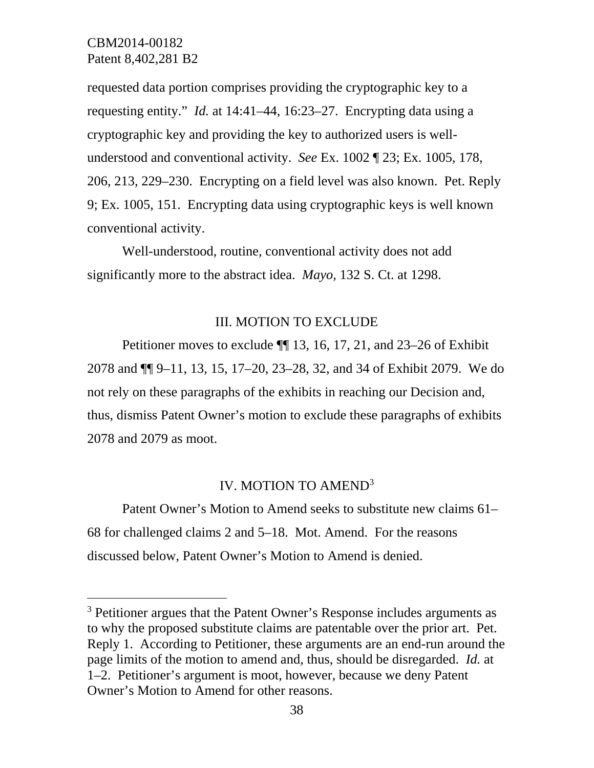l

requested data portion comprises providing the cryptographic key to a requesting entity." *Id.* at 14:41–44, 16:23–27. Encrypting data using a cryptographic key and providing the key to authorized users is wellunderstood and conventional activity. *See* Ex. 1002 ¶ 23; Ex. 1005, 178, 206, 213, 229–230. Encrypting on a field level was also known. Pet. Reply 9; Ex. 1005, 151. Encrypting data using cryptographic keys is well known conventional activity.

Well-understood, routine, conventional activity does not add significantly more to the abstract idea. *Mayo,* 132 S. Ct. at 1298.

#### III. MOTION TO EXCLUDE

Petitioner moves to exclude ¶¶ 13, 16, 17, 21, and 23–26 of Exhibit 2078 and ¶¶ 9–11, 13, 15, 17–20, 23–28, 32, and 34 of Exhibit 2079. We do not rely on these paragraphs of the exhibits in reaching our Decision and, thus, dismiss Patent Owner's motion to exclude these paragraphs of exhibits 2078 and 2079 as moot.

#### IV. MOTION TO AMEND3

 Patent Owner's Motion to Amend seeks to substitute new claims 61– 68 for challenged claims 2 and 5–18. Mot. Amend. For the reasons discussed below, Patent Owner's Motion to Amend is denied.

<sup>&</sup>lt;sup>3</sup> Petitioner argues that the Patent Owner's Response includes arguments as to why the proposed substitute claims are patentable over the prior art. Pet. Reply 1. According to Petitioner, these arguments are an end-run around the page limits of the motion to amend and, thus, should be disregarded. *Id.* at 1–2. Petitioner's argument is moot, however, because we deny Patent Owner's Motion to Amend for other reasons.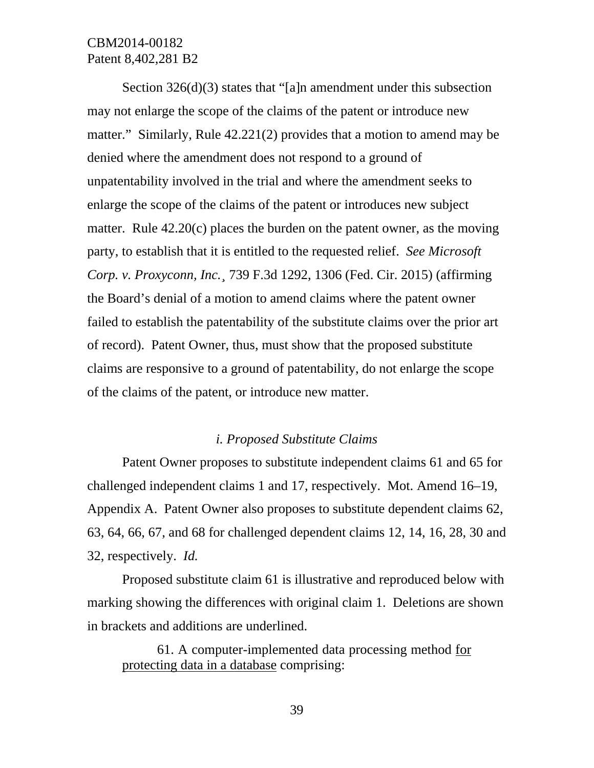Section 326(d)(3) states that "[a]n amendment under this subsection may not enlarge the scope of the claims of the patent or introduce new matter." Similarly, Rule 42.221(2) provides that a motion to amend may be denied where the amendment does not respond to a ground of unpatentability involved in the trial and where the amendment seeks to enlarge the scope of the claims of the patent or introduces new subject matter. Rule 42.20(c) places the burden on the patent owner, as the moving party, to establish that it is entitled to the requested relief. *See Microsoft Corp. v. Proxyconn, Inc.¸* 739 F.3d 1292, 1306 (Fed. Cir. 2015) (affirming the Board's denial of a motion to amend claims where the patent owner failed to establish the patentability of the substitute claims over the prior art of record). Patent Owner, thus, must show that the proposed substitute claims are responsive to a ground of patentability, do not enlarge the scope of the claims of the patent, or introduce new matter.

#### *i. Proposed Substitute Claims*

 Patent Owner proposes to substitute independent claims 61 and 65 for challenged independent claims 1 and 17, respectively. Mot. Amend 16–19, Appendix A. Patent Owner also proposes to substitute dependent claims 62, 63, 64, 66, 67, and 68 for challenged dependent claims 12, 14, 16, 28, 30 and 32, respectively. *Id.*

Proposed substitute claim 61 is illustrative and reproduced below with marking showing the differences with original claim 1. Deletions are shown in brackets and additions are underlined.

 61. A computer-implemented data processing method for protecting data in a database comprising: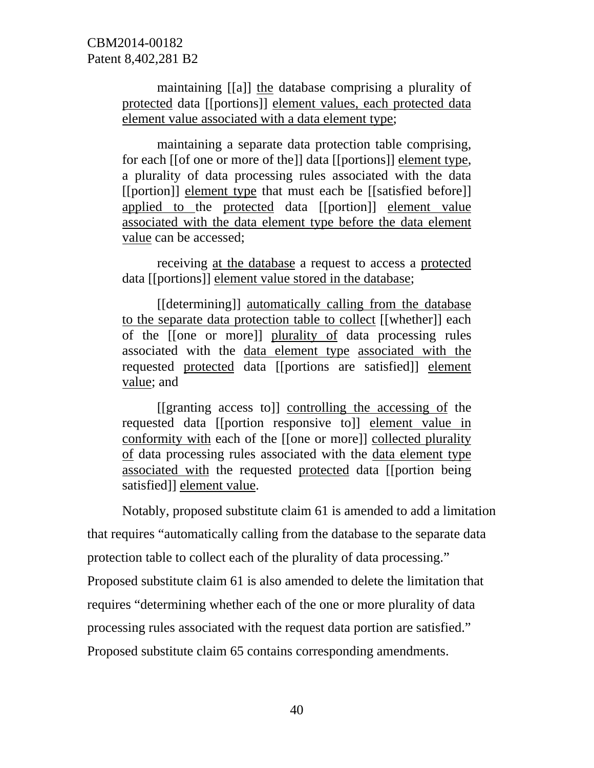maintaining [[a]] the database comprising a plurality of protected data [[portions]] element values, each protected data element value associated with a data element type;

 maintaining a separate data protection table comprising, for each [[of one or more of the]] data [[portions]] element type, a plurality of data processing rules associated with the data [[portion]] element type that must each be [[satisfied before]] applied to the protected data [[portion]] element value associated with the data element type before the data element value can be accessed;

 receiving at the database a request to access a protected data [[portions]] element value stored in the database;

 [[determining]] automatically calling from the database to the separate data protection table to collect [[whether]] each of the [[one or more]] plurality of data processing rules associated with the data element type associated with the requested protected data [[portions are satisfied]] element value; and

 [[granting access to]] controlling the accessing of the requested data [[portion responsive to]] element value in conformity with each of the [[one or more]] collected plurality of data processing rules associated with the data element type associated with the requested protected data [[portion being satisfied]] element value.

 Notably, proposed substitute claim 61 is amended to add a limitation that requires "automatically calling from the database to the separate data protection table to collect each of the plurality of data processing." Proposed substitute claim 61 is also amended to delete the limitation that requires "determining whether each of the one or more plurality of data

processing rules associated with the request data portion are satisfied."

Proposed substitute claim 65 contains corresponding amendments.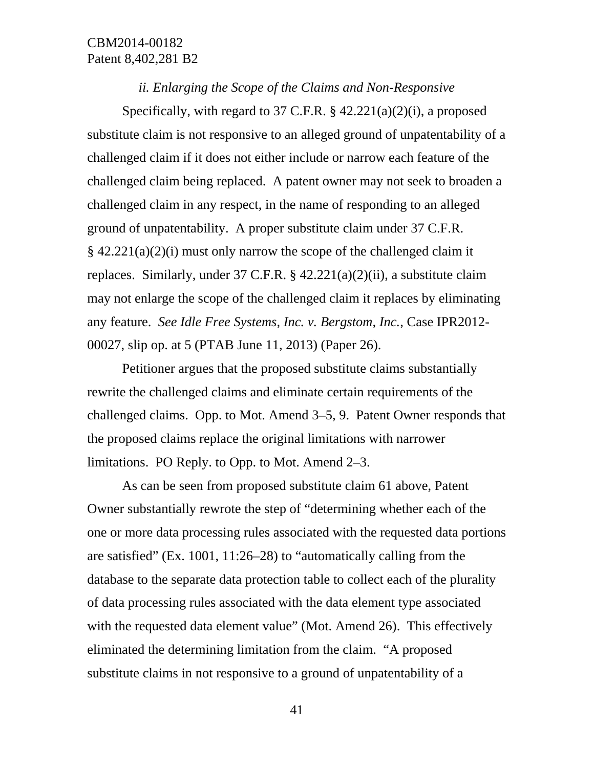*ii. Enlarging the Scope of the Claims and Non-Responsive*  Specifically, with regard to 37 C.F.R. § 42.221(a)(2)(i), a proposed substitute claim is not responsive to an alleged ground of unpatentability of a challenged claim if it does not either include or narrow each feature of the challenged claim being replaced. A patent owner may not seek to broaden a challenged claim in any respect, in the name of responding to an alleged ground of unpatentability. A proper substitute claim under 37 C.F.R.  $\S$  42.221(a)(2)(i) must only narrow the scope of the challenged claim it replaces. Similarly, under 37 C.F.R. § 42.221(a)(2)(ii), a substitute claim may not enlarge the scope of the challenged claim it replaces by eliminating any feature. *See Idle Free Systems, Inc. v. Bergstom, Inc.*, Case IPR2012- 00027, slip op. at 5 (PTAB June 11, 2013) (Paper 26).

 Petitioner argues that the proposed substitute claims substantially rewrite the challenged claims and eliminate certain requirements of the challenged claims. Opp. to Mot. Amend 3–5, 9. Patent Owner responds that the proposed claims replace the original limitations with narrower limitations. PO Reply. to Opp. to Mot. Amend 2–3.

As can be seen from proposed substitute claim 61 above, Patent Owner substantially rewrote the step of "determining whether each of the one or more data processing rules associated with the requested data portions are satisfied" (Ex. 1001, 11:26–28) to "automatically calling from the database to the separate data protection table to collect each of the plurality of data processing rules associated with the data element type associated with the requested data element value" (Mot. Amend 26). This effectively eliminated the determining limitation from the claim. "A proposed substitute claims in not responsive to a ground of unpatentability of a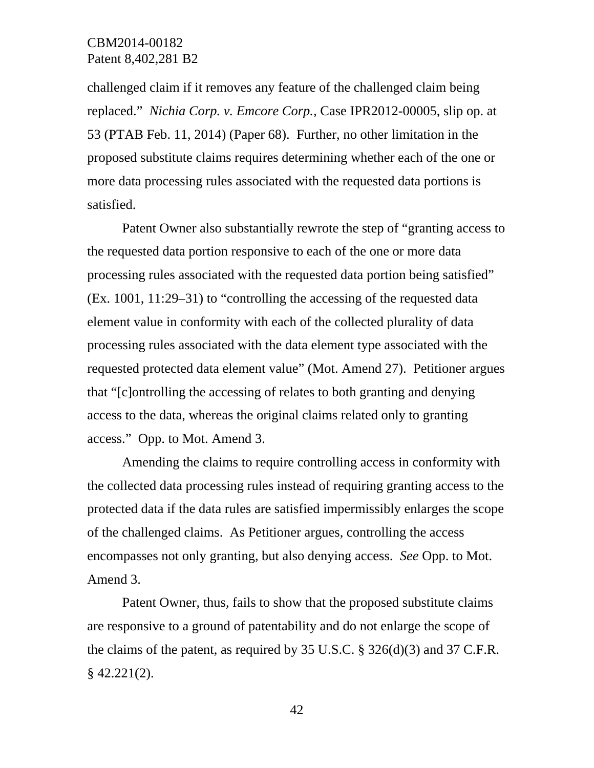challenged claim if it removes any feature of the challenged claim being replaced." *Nichia Corp. v. Emcore Corp.,* Case IPR2012-00005, slip op. at 53 (PTAB Feb. 11, 2014) (Paper 68). Further, no other limitation in the proposed substitute claims requires determining whether each of the one or more data processing rules associated with the requested data portions is satisfied.

Patent Owner also substantially rewrote the step of "granting access to the requested data portion responsive to each of the one or more data processing rules associated with the requested data portion being satisfied" (Ex. 1001, 11:29–31) to "controlling the accessing of the requested data element value in conformity with each of the collected plurality of data processing rules associated with the data element type associated with the requested protected data element value" (Mot. Amend 27). Petitioner argues that "[c]ontrolling the accessing of relates to both granting and denying access to the data, whereas the original claims related only to granting access." Opp. to Mot. Amend 3.

 Amending the claims to require controlling access in conformity with the collected data processing rules instead of requiring granting access to the protected data if the data rules are satisfied impermissibly enlarges the scope of the challenged claims. As Petitioner argues, controlling the access encompasses not only granting, but also denying access. *See* Opp. to Mot. Amend 3.

Patent Owner, thus, fails to show that the proposed substitute claims are responsive to a ground of patentability and do not enlarge the scope of the claims of the patent, as required by 35 U.S.C. § 326(d)(3) and 37 C.F.R. § 42.221(2).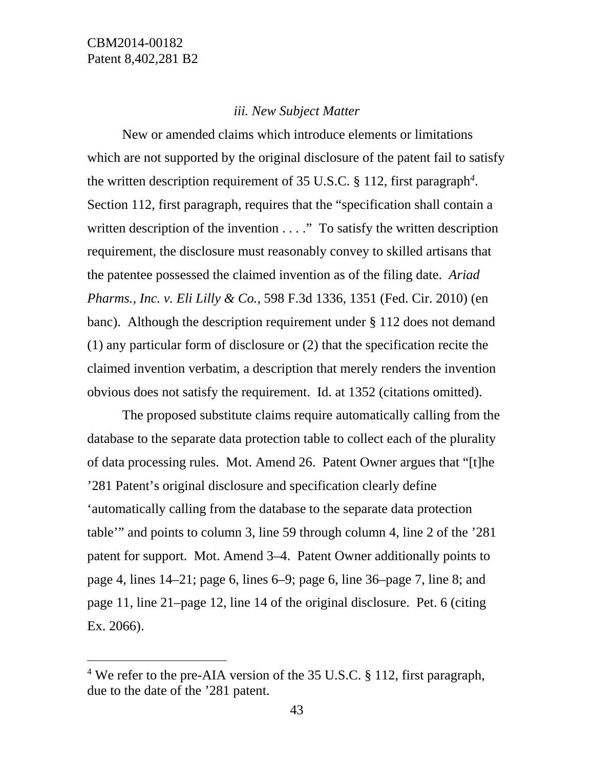$\overline{a}$ 

#### *iii. New Subject Matter*

New or amended claims which introduce elements or limitations which are not supported by the original disclosure of the patent fail to satisfy the written description requirement of 35 U.S.C. § 112, first paragraph*<sup>4</sup>* . Section 112, first paragraph, requires that the "specification shall contain a written description of the invention . . . ." To satisfy the written description requirement, the disclosure must reasonably convey to skilled artisans that the patentee possessed the claimed invention as of the filing date. *Ariad Pharms., Inc. v. Eli Lilly & Co.*, 598 F.3d 1336, 1351 (Fed. Cir. 2010) (en banc). Although the description requirement under § 112 does not demand (1) any particular form of disclosure or (2) that the specification recite the claimed invention verbatim, a description that merely renders the invention obvious does not satisfy the requirement. Id. at 1352 (citations omitted).

 The proposed substitute claims require automatically calling from the database to the separate data protection table to collect each of the plurality of data processing rules. Mot. Amend 26. Patent Owner argues that "[t]he '281 Patent's original disclosure and specification clearly define 'automatically calling from the database to the separate data protection table'" and points to column 3, line 59 through column 4, line 2 of the '281 patent for support. Mot. Amend 3–4. Patent Owner additionally points to page 4, lines 14–21; page 6, lines 6–9; page 6, line 36–page 7, line 8; and page 11, line 21–page 12, line 14 of the original disclosure. Pet. 6 (citing Ex. 2066).

<sup>&</sup>lt;sup>4</sup> We refer to the pre-AIA version of the 35 U.S.C. § 112, first paragraph, due to the date of the '281 patent.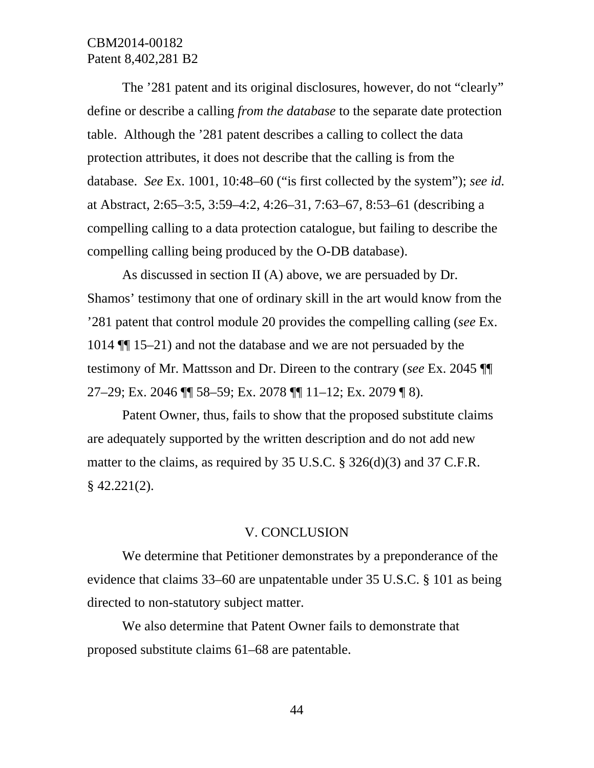The '281 patent and its original disclosures, however, do not "clearly" define or describe a calling *from the database* to the separate date protection table. Although the '281 patent describes a calling to collect the data protection attributes, it does not describe that the calling is from the database. *See* Ex. 1001, 10:48–60 ("is first collected by the system"); *see id.* at Abstract, 2:65–3:5, 3:59–4:2, 4:26–31, 7:63–67, 8:53–61 (describing a compelling calling to a data protection catalogue, but failing to describe the compelling calling being produced by the O-DB database).

 As discussed in section II (A) above, we are persuaded by Dr. Shamos' testimony that one of ordinary skill in the art would know from the '281 patent that control module 20 provides the compelling calling (*see* Ex. 1014 ¶¶ 15–21) and not the database and we are not persuaded by the testimony of Mr. Mattsson and Dr. Direen to the contrary (*see* Ex. 2045 ¶¶ 27–29; Ex. 2046 ¶¶ 58–59; Ex. 2078 ¶¶ 11–12; Ex. 2079 ¶ 8).

Patent Owner, thus, fails to show that the proposed substitute claims are adequately supported by the written description and do not add new matter to the claims, as required by 35 U.S.C. § 326(d)(3) and 37 C.F.R.  $§$  42.221(2).

#### V. CONCLUSION

We determine that Petitioner demonstrates by a preponderance of the evidence that claims 33–60 are unpatentable under 35 U.S.C. § 101 as being directed to non-statutory subject matter.

We also determine that Patent Owner fails to demonstrate that proposed substitute claims 61–68 are patentable.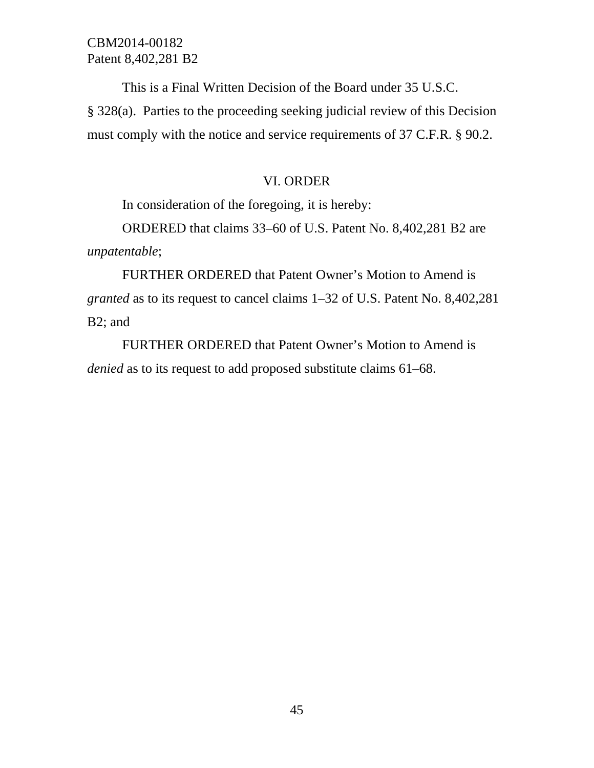This is a Final Written Decision of the Board under 35 U.S.C. § 328(a). Parties to the proceeding seeking judicial review of this Decision must comply with the notice and service requirements of 37 C.F.R. § 90.2.

## VI. ORDER

In consideration of the foregoing, it is hereby:

ORDERED that claims 33–60 of U.S. Patent No. 8,402,281 B2 are *unpatentable*;

FURTHER ORDERED that Patent Owner's Motion to Amend is *granted* as to its request to cancel claims 1–32 of U.S. Patent No. 8,402,281 B2; and

FURTHER ORDERED that Patent Owner's Motion to Amend is *denied* as to its request to add proposed substitute claims 61–68.